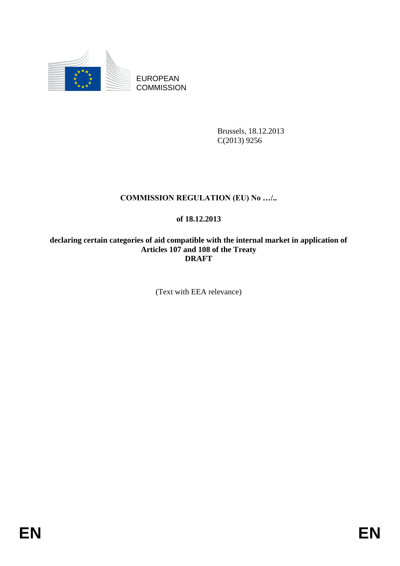

EUROPEAN **COMMISSION** 

> Brussels, 18.12.2013 C(2013) 9256

# **COMMISSION REGULATION (EU) No …/..**

# **of 18.12.2013**

**declaring certain categories of aid compatible with the internal market in application of Articles 107 and 108 of the Treaty DRAFT**

(Text with EEA relevance)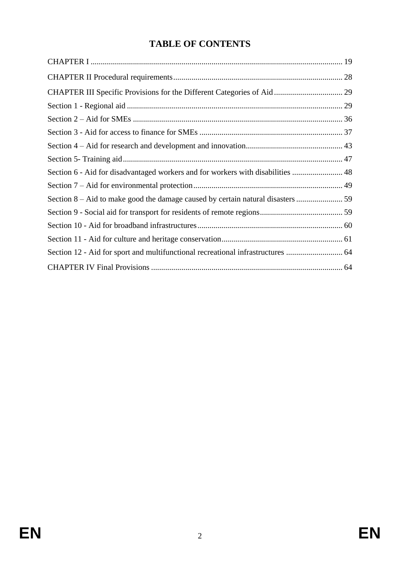# **TABLE OF CONTENTS**

| Section 6 - Aid for disadvantaged workers and for workers with disabilities  48 |  |
|---------------------------------------------------------------------------------|--|
|                                                                                 |  |
|                                                                                 |  |
|                                                                                 |  |
|                                                                                 |  |
|                                                                                 |  |
| Section 12 - Aid for sport and multifunctional recreational infrastructures  64 |  |
|                                                                                 |  |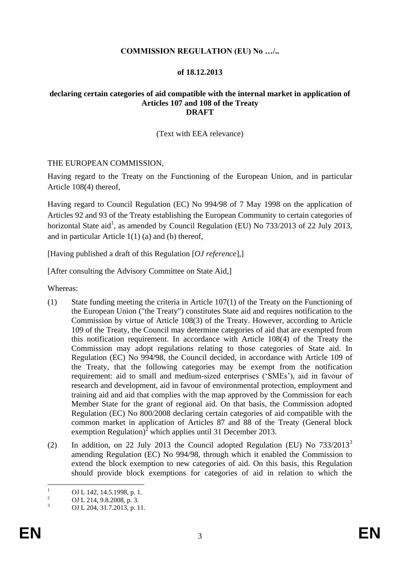### **COMMISSION REGULATION (EU) No …/..**

### **of 18.12.2013**

### **declaring certain categories of aid compatible with the internal market in application of Articles 107 and 108 of the Treaty DRAFT**

### (Text with EEA relevance)

### THE EUROPEAN COMMISSION,

Having regard to the Treaty on the Functioning of the European Union, and in particular Article 108(4) thereof,

Having regard to Council Regulation (EC) No 994/98 of 7 May 1998 on the application of Articles 92 and 93 of the Treaty establishing the European Community to certain categories of horizontal State aid<sup>1</sup>, as amended by Council Regulation (EU) No 733/2013 of 22 July 2013, and in particular Article 1(1) (a) and (b) thereof,

[Having published a draft of this Regulation [*OJ reference*],]

[After consulting the Advisory Committee on State Aid,]

Whereas:

- (1) State funding meeting the criteria in Article 107(1) of the Treaty on the Functioning of the European Union ("the Treaty") constitutes State aid and requires notification to the Commission by virtue of Article 108(3) of the Treaty. However, according to Article 109 of the Treaty, the Council may determine categories of aid that are exempted from this notification requirement. In accordance with Article 108(4) of the Treaty the Commission may adopt regulations relating to those categories of State aid. In Regulation (EC) No 994/98, the Council decided, in accordance with Article 109 of the Treaty, that the following categories may be exempt from the notification requirement: aid to small and medium-sized enterprises ('SMEs'), aid in favour of research and development, aid in favour of environmental protection, employment and training aid and aid that complies with the map approved by the Commission for each Member State for the grant of regional aid. On that basis, the Commission adopted Regulation (EC) No 800/2008 declaring certain categories of aid compatible with the common market in application of Articles 87 and 88 of the Treaty (General block exemption Regulation)<sup>2</sup> which applies until 31 December 2013.
- (2) In addition, on 22 July 2013 the Council adopted Regulation (EU) No  $733/2013^3$ amending Regulation (EC) No 994/98, through which it enabled the Commission to extend the block exemption to new categories of aid. On this basis, this Regulation should provide block exemptions for categories of aid in relation to which the

 $\mathbf{1}$  $\frac{1}{2}$  OJ L 142, 14.5.1998, p. 1.

<sup>&</sup>lt;sup>2</sup> OJ L 214, 9.8.2008, p. 3.<br>3. OJ L 204, 21.7.2012

<sup>3</sup> OJ L 204, 31.7.2013, p. 11.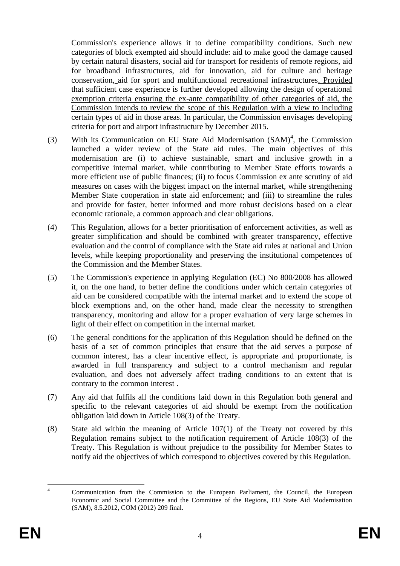Commission's experience allows it to define compatibility conditions. Such new categories of block exempted aid should include: aid to make good the damage caused by certain natural disasters, social aid for transport for residents of remote regions, aid for broadband infrastructures, aid for innovation, aid for culture and heritage conservation, aid for sport and multifunctional recreational infrastructures. Provided that sufficient case experience is further developed allowing the design of operational exemption criteria ensuring the ex-ante compatibility of other categories of aid, the Commission intends to review the scope of this Regulation with a view to including certain types of aid in those areas. In particular, the Commission envisages developing criteria for port and airport infrastructure by December 2015.

- (3) With its Communication on EU State Aid Modernisation  $(SAM)^4$ , the Commission launched a wider review of the State aid rules. The main objectives of this modernisation are (i) to achieve sustainable, smart and inclusive growth in a competitive internal market, while contributing to Member State efforts towards a more efficient use of public finances; (ii) to focus Commission ex ante scrutiny of aid measures on cases with the biggest impact on the internal market, while strengthening Member State cooperation in state aid enforcement; and (iii) to streamline the rules and provide for faster, better informed and more robust decisions based on a clear economic rationale, a common approach and clear obligations.
- (4) This Regulation, allows for a better prioritisation of enforcement activities, as well as greater simplification and should be combined with greater transparency, effective evaluation and the control of compliance with the State aid rules at national and Union levels, while keeping proportionality and preserving the institutional competences of the Commission and the Member States.
- (5) The Commission's experience in applying Regulation (EC) No 800/2008 has allowed it, on the one hand, to better define the conditions under which certain categories of aid can be considered compatible with the internal market and to extend the scope of block exemptions and, on the other hand, made clear the necessity to strengthen transparency, monitoring and allow for a proper evaluation of very large schemes in light of their effect on competition in the internal market.
- (6) The general conditions for the application of this Regulation should be defined on the basis of a set of common principles that ensure that the aid serves a purpose of common interest, has a clear incentive effect, is appropriate and proportionate, is awarded in full transparency and subject to a control mechanism and regular evaluation, and does not adversely affect trading conditions to an extent that is contrary to the common interest .
- (7) Any aid that fulfils all the conditions laid down in this Regulation both general and specific to the relevant categories of aid should be exempt from the notification obligation laid down in Article 108(3) of the Treaty.
- (8) State aid within the meaning of Article 107(1) of the Treaty not covered by this Regulation remains subject to the notification requirement of Article 108(3) of the Treaty. This Regulation is without prejudice to the possibility for Member States to notify aid the objectives of which correspond to objectives covered by this Regulation.

 $\overline{A}$ <sup>4</sup> Communication from the Commission to the European Parliament, the Council, the European Economic and Social Committee and the Committee of the Regions, EU State Aid Modernisation (SAM), 8.5.2012, COM (2012) 209 final.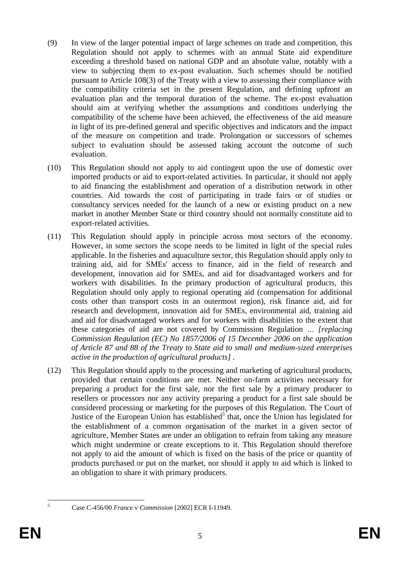- (9) In view of the larger potential impact of large schemes on trade and competition, this Regulation should not apply to schemes with an annual State aid expenditure exceeding a threshold based on national GDP and an absolute value, notably with a view to subjecting them to ex-post evaluation. Such schemes should be notified pursuant to Article 108(3) of the Treaty with a view to assessing their compliance with the compatibility criteria set in the present Regulation, and defining upfront an evaluation plan and the temporal duration of the scheme. The ex-post evaluation should aim at verifying whether the assumptions and conditions underlying the compatibility of the scheme have been achieved, the effectiveness of the aid measure in light of its pre-defined general and specific objectives and indicators and the impact of the measure on competition and trade. Prolongation or successors of schemes subject to evaluation should be assessed taking account the outcome of such evaluation.
- (10) This Regulation should not apply to aid contingent upon the use of domestic over imported products or aid to export-related activities. In particular, it should not apply to aid financing the establishment and operation of a distribution network in other countries. Aid towards the cost of participating in trade fairs or of studies or consultancy services needed for the launch of a new or existing product on a new market in another Member State or third country should not normally constitute aid to export-related activities.
- (11) This Regulation should apply in principle across most sectors of the economy. However, in some sectors the scope needs to be limited in light of the special rules applicable. In the fisheries and aquaculture sector, this Regulation should apply only to training aid, aid for SMEs' access to finance, aid in the field of research and development, innovation aid for SMEs, and aid for disadvantaged workers and for workers with disabilities. In the primary production of agricultural products, this Regulation should only apply to regional operating aid (compensation for additional costs other than transport costs in an outermost region), risk finance aid, aid for research and development, innovation aid for SMEs, environmental aid, training aid and aid for disadvantaged workers and for workers with disabilities to the extent that these categories of aid are not covered by Commission Regulation *… [replacing Commission Regulation (EC) No 1857/2006 of 15 December 2006 on the application of Article 87 and 88 of the Treaty to State aid to small and medium-sized enterprises active in the production of agricultural products] .*
- (12) This Regulation should apply to the processing and marketing of agricultural products, provided that certain conditions are met. Neither on-farm activities necessary for preparing a product for the first sale, nor the first sale by a primary producer to resellers or processors nor any activity preparing a product for a first sale should be considered processing or marketing for the purposes of this Regulation. The Court of Justice of the European Union has established<sup>5</sup> that, once the Union has legislated for the establishment of a common organisation of the market in a given sector of agriculture, Member States are under an obligation to refrain from taking any measure which might undermine or create exceptions to it. This Regulation should therefore not apply to aid the amount of which is fixed on the basis of the price or quantity of products purchased or put on the market, nor should it apply to aid which is linked to an obligation to share it with primary producers.

 $\overline{5}$ 

<sup>5</sup> Case C-456/00 *France* v *Commission* [2002] ECR I-11949.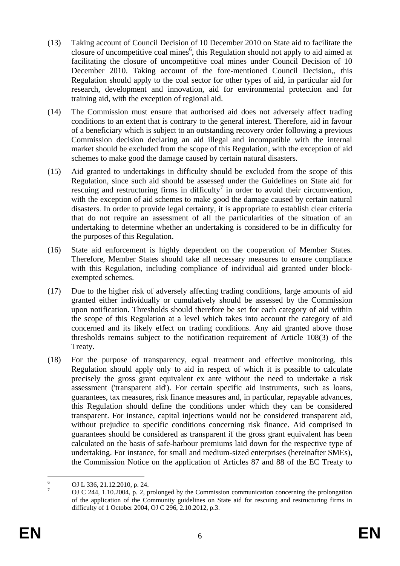- (13) Taking account of Council Decision of 10 December 2010 on State aid to facilitate the closure of uncompetitive coal mines<sup> $6$ </sup>, this Regulation should not apply to aid aimed at facilitating the closure of uncompetitive coal mines under Council Decision of 10 December 2010. Taking account of the fore-mentioned Council Decision,, this Regulation should apply to the coal sector for other types of aid, in particular aid for research, development and innovation, aid for environmental protection and for training aid, with the exception of regional aid.
- (14) The Commission must ensure that authorised aid does not adversely affect trading conditions to an extent that is contrary to the general interest. Therefore, aid in favour of a beneficiary which is subject to an outstanding recovery order following a previous Commission decision declaring an aid illegal and incompatible with the internal market should be excluded from the scope of this Regulation, with the exception of aid schemes to make good the damage caused by certain natural disasters.
- (15) Aid granted to undertakings in difficulty should be excluded from the scope of this Regulation, since such aid should be assessed under the Guidelines on State aid for rescuing and restructuring firms in difficulty<sup>7</sup> in order to avoid their circumvention, with the exception of aid schemes to make good the damage caused by certain natural disasters. In order to provide legal certainty, it is appropriate to establish clear criteria that do not require an assessment of all the particularities of the situation of an undertaking to determine whether an undertaking is considered to be in difficulty for the purposes of this Regulation.
- (16) State aid enforcement is highly dependent on the cooperation of Member States. Therefore, Member States should take all necessary measures to ensure compliance with this Regulation, including compliance of individual aid granted under blockexempted schemes.
- (17) Due to the higher risk of adversely affecting trading conditions, large amounts of aid granted either individually or cumulatively should be assessed by the Commission upon notification. Thresholds should therefore be set for each category of aid within the scope of this Regulation at a level which takes into account the category of aid concerned and its likely effect on trading conditions. Any aid granted above those thresholds remains subject to the notification requirement of Article 108(3) of the Treaty.
- (18) For the purpose of transparency, equal treatment and effective monitoring, this Regulation should apply only to aid in respect of which it is possible to calculate precisely the gross grant equivalent ex ante without the need to undertake a risk assessment ('transparent aid'). For certain specific aid instruments, such as loans, guarantees, tax measures, risk finance measures and, in particular, repayable advances, this Regulation should define the conditions under which they can be considered transparent. For instance, capital injections would not be considered transparent aid, without prejudice to specific conditions concerning risk finance. Aid comprised in guarantees should be considered as transparent if the gross grant equivalent has been calculated on the basis of safe-harbour premiums laid down for the respective type of undertaking. For instance, for small and medium-sized enterprises (hereinafter SMEs), the Commission Notice on the application of Articles 87 and 88 of the EC Treaty to

 $\overline{6}$ <sup>6</sup> OJ L 336, 21.12.2010, p. 24.

<sup>7</sup> OJ C 244, 1.10.2004, p. 2, prolonged by the Commission communication concerning the prolongation of the application of the Community guidelines on State aid for rescuing and restructuring firms in difficulty of 1 October 2004, OJ C 296, 2.10.2012, p.3.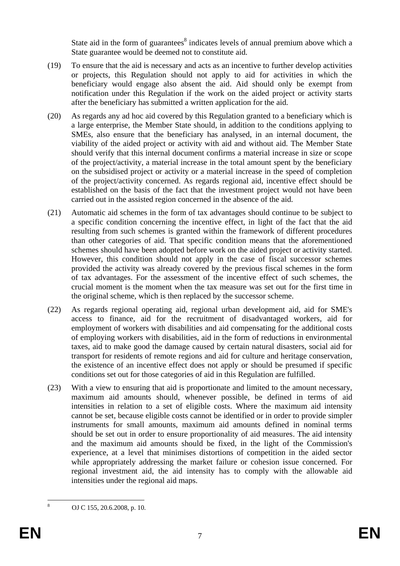State aid in the form of guarantees $<sup>8</sup>$  indicates levels of annual premium above which a</sup> State guarantee would be deemed not to constitute aid.

- (19) To ensure that the aid is necessary and acts as an incentive to further develop activities or projects, this Regulation should not apply to aid for activities in which the beneficiary would engage also absent the aid. Aid should only be exempt from notification under this Regulation if the work on the aided project or activity starts after the beneficiary has submitted a written application for the aid.
- (20) As regards any ad hoc aid covered by this Regulation granted to a beneficiary which is a large enterprise, the Member State should, in addition to the conditions applying to SMEs, also ensure that the beneficiary has analysed, in an internal document, the viability of the aided project or activity with aid and without aid. The Member State should verify that this internal document confirms a material increase in size or scope of the project/activity, a material increase in the total amount spent by the beneficiary on the subsidised project or activity or a material increase in the speed of completion of the project/activity concerned. As regards regional aid, incentive effect should be established on the basis of the fact that the investment project would not have been carried out in the assisted region concerned in the absence of the aid.
- (21) Automatic aid schemes in the form of tax advantages should continue to be subject to a specific condition concerning the incentive effect, in light of the fact that the aid resulting from such schemes is granted within the framework of different procedures than other categories of aid. That specific condition means that the aforementioned schemes should have been adopted before work on the aided project or activity started. However, this condition should not apply in the case of fiscal successor schemes provided the activity was already covered by the previous fiscal schemes in the form of tax advantages. For the assessment of the incentive effect of such schemes, the crucial moment is the moment when the tax measure was set out for the first time in the original scheme, which is then replaced by the successor scheme.
- (22) As regards regional operating aid, regional urban development aid, aid for SME's access to finance, aid for the recruitment of disadvantaged workers, aid for employment of workers with disabilities and aid compensating for the additional costs of employing workers with disabilities, aid in the form of reductions in environmental taxes, aid to make good the damage caused by certain natural disasters, social aid for transport for residents of remote regions and aid for culture and heritage conservation, the existence of an incentive effect does not apply or should be presumed if specific conditions set out for those categories of aid in this Regulation are fulfilled.
- (23) With a view to ensuring that aid is proportionate and limited to the amount necessary, maximum aid amounts should, whenever possible, be defined in terms of aid intensities in relation to a set of eligible costs. Where the maximum aid intensity cannot be set, because eligible costs cannot be identified or in order to provide simpler instruments for small amounts, maximum aid amounts defined in nominal terms should be set out in order to ensure proportionality of aid measures. The aid intensity and the maximum aid amounts should be fixed, in the light of the Commission's experience, at a level that minimises distortions of competition in the aided sector while appropriately addressing the market failure or cohesion issue concerned. For regional investment aid, the aid intensity has to comply with the allowable aid intensities under the regional aid maps.

OJ C 155, 20.6.2008, p. 10.

 $\overline{8}$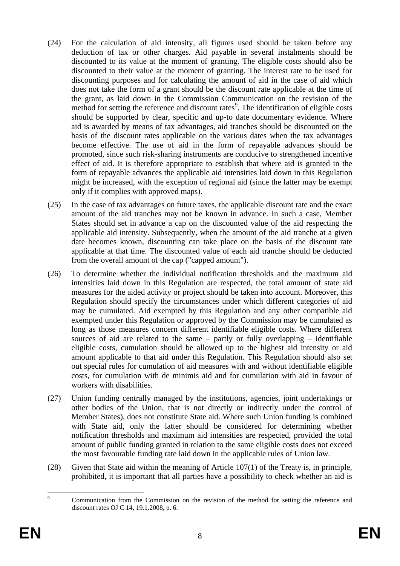- (24) For the calculation of aid intensity, all figures used should be taken before any deduction of tax or other charges. Aid payable in several instalments should be discounted to its value at the moment of granting. The eligible costs should also be discounted to their value at the moment of granting. The interest rate to be used for discounting purposes and for calculating the amount of aid in the case of aid which does not take the form of a grant should be the discount rate applicable at the time of the grant, as laid down in the Commission Communication on the revision of the method for setting the reference and discount rates<sup>9</sup>. The identification of eligible costs should be supported by clear, specific and up-to date documentary evidence. Where aid is awarded by means of tax advantages, aid tranches should be discounted on the basis of the discount rates applicable on the various dates when the tax advantages become effective. The use of aid in the form of repayable advances should be promoted, since such risk-sharing instruments are conducive to strengthened incentive effect of aid. It is therefore appropriate to establish that where aid is granted in the form of repayable advances the applicable aid intensities laid down in this Regulation might be increased, with the exception of regional aid (since the latter may be exempt only if it complies with approved maps).
- (25) In the case of tax advantages on future taxes, the applicable discount rate and the exact amount of the aid tranches may not be known in advance. In such a case, Member States should set in advance a cap on the discounted value of the aid respecting the applicable aid intensity. Subsequently, when the amount of the aid tranche at a given date becomes known, discounting can take place on the basis of the discount rate applicable at that time. The discounted value of each aid tranche should be deducted from the overall amount of the cap ("capped amount").
- (26) To determine whether the individual notification thresholds and the maximum aid intensities laid down in this Regulation are respected, the total amount of state aid measures for the aided activity or project should be taken into account. Moreover, this Regulation should specify the circumstances under which different categories of aid may be cumulated. Aid exempted by this Regulation and any other compatible aid exempted under this Regulation or approved by the Commission may be cumulated as long as those measures concern different identifiable eligible costs. Where different sources of aid are related to the same – partly or fully overlapping – identifiable eligible costs, cumulation should be allowed up to the highest aid intensity or aid amount applicable to that aid under this Regulation. This Regulation should also set out special rules for cumulation of aid measures with and without identifiable eligible costs, for cumulation with de minimis aid and for cumulation with aid in favour of workers with disabilities.
- (27) Union funding centrally managed by the institutions, agencies, joint undertakings or other bodies of the Union, that is not directly or indirectly under the control of Member States), does not constitute State aid. Where such Union funding is combined with State aid, only the latter should be considered for determining whether notification thresholds and maximum aid intensities are respected, provided the total amount of public funding granted in relation to the same eligible costs does not exceed the most favourable funding rate laid down in the applicable rules of Union law.
- (28) Given that State aid within the meaning of Article 107(1) of the Treaty is, in principle, prohibited, it is important that all parties have a possibility to check whether an aid is

 $\overline{9}$ <sup>9</sup> Communication from the Commission on the revision of the method for setting the reference and discount rates OJ C 14, 19.1.2008, p. 6.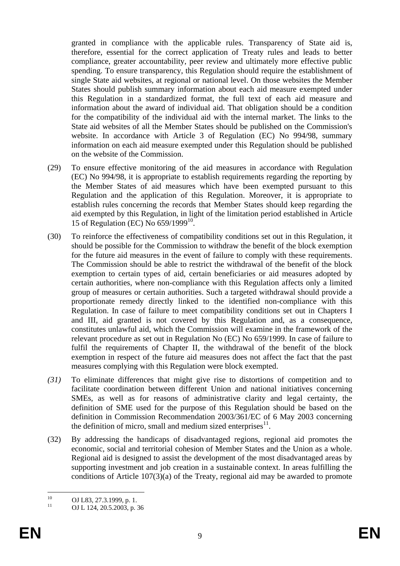granted in compliance with the applicable rules. Transparency of State aid is, therefore, essential for the correct application of Treaty rules and leads to better compliance, greater accountability, peer review and ultimately more effective public spending. To ensure transparency, this Regulation should require the establishment of single State aid websites, at regional or national level. On those websites the Member States should publish summary information about each aid measure exempted under this Regulation in a standardized format, the full text of each aid measure and information about the award of individual aid. That obligation should be a condition for the compatibility of the individual aid with the internal market. The links to the State aid websites of all the Member States should be published on the Commission's website. In accordance with Article 3 of Regulation (EC) No 994/98, summary information on each aid measure exempted under this Regulation should be published on the website of the Commission.

- (29) To ensure effective monitoring of the aid measures in accordance with Regulation (EC) No 994/98, it is appropriate to establish requirements regarding the reporting by the Member States of aid measures which have been exempted pursuant to this Regulation and the application of this Regulation. Moreover, it is appropriate to establish rules concerning the records that Member States should keep regarding the aid exempted by this Regulation, in light of the limitation period established in Article 15 of Regulation (EC) No 659/1999<sup>10</sup>.
- (30) To reinforce the effectiveness of compatibility conditions set out in this Regulation, it should be possible for the Commission to withdraw the benefit of the block exemption for the future aid measures in the event of failure to comply with these requirements. The Commission should be able to restrict the withdrawal of the benefit of the block exemption to certain types of aid, certain beneficiaries or aid measures adopted by certain authorities, where non-compliance with this Regulation affects only a limited group of measures or certain authorities. Such a targeted withdrawal should provide a proportionate remedy directly linked to the identified non-compliance with this Regulation. In case of failure to meet compatibility conditions set out in Chapters I and III, aid granted is not covered by this Regulation and, as a consequence, constitutes unlawful aid, which the Commission will examine in the framework of the relevant procedure as set out in Regulation No (EC) No 659/1999. In case of failure to fulfil the requirements of Chapter II, the withdrawal of the benefit of the block exemption in respect of the future aid measures does not affect the fact that the past measures complying with this Regulation were block exempted.
- *(31)* To eliminate differences that might give rise to distortions of competition and to facilitate coordination between different Union and national initiatives concerning SMEs, as well as for reasons of administrative clarity and legal certainty, the definition of SME used for the purpose of this Regulation should be based on the definition in Commission Recommendation 2003/361/EC of 6 May 2003 concerning the definition of micro, small and medium sized enterprises $11$ .
- (32) By addressing the handicaps of disadvantaged regions, regional aid promotes the economic, social and territorial cohesion of Member States and the Union as a whole. Regional aid is designed to assist the development of the most disadvantaged areas by supporting investment and job creation in a sustainable context. In areas fulfilling the conditions of Article 107(3)(a) of the Treaty, regional aid may be awarded to promote

 $10$ <sup>10</sup> OJ L83, 27.3.1999, p. 1.<br><sup>11</sup> OJ L324, 20.5.2002, a

OJ L 124, 20.5.2003, p. 36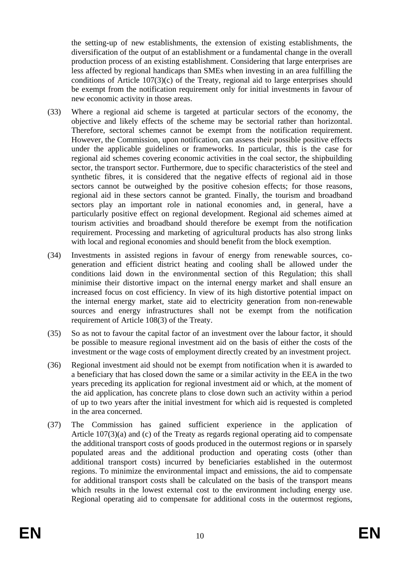the setting-up of new establishments, the extension of existing establishments, the diversification of the output of an establishment or a fundamental change in the overall production process of an existing establishment. Considering that large enterprises are less affected by regional handicaps than SMEs when investing in an area fulfilling the conditions of Article 107(3)(c) of the Treaty, regional aid to large enterprises should be exempt from the notification requirement only for initial investments in favour of new economic activity in those areas.

- (33) Where a regional aid scheme is targeted at particular sectors of the economy, the objective and likely effects of the scheme may be sectorial rather than horizontal. Therefore, sectoral schemes cannot be exempt from the notification requirement. However, the Commission, upon notification, can assess their possible positive effects under the applicable guidelines or frameworks. In particular, this is the case for regional aid schemes covering economic activities in the coal sector, the shipbuilding sector, the transport sector. Furthermore, due to specific characteristics of the steel and synthetic fibres, it is considered that the negative effects of regional aid in those sectors cannot be outweighed by the positive cohesion effects; for those reasons, regional aid in these sectors cannot be granted. Finally, the tourism and broadband sectors play an important role in national economies and, in general, have a particularly positive effect on regional development. Regional aid schemes aimed at tourism activities and broadband should therefore be exempt from the notification requirement. Processing and marketing of agricultural products has also strong links with local and regional economies and should benefit from the block exemption.
- (34) Investments in assisted regions in favour of energy from renewable sources, cogeneration and efficient district heating and cooling shall be allowed under the conditions laid down in the environmental section of this Regulation; this shall minimise their distortive impact on the internal energy market and shall ensure an increased focus on cost efficiency. In view of its high distortive potential impact on the internal energy market, state aid to electricity generation from non-renewable sources and energy infrastructures shall not be exempt from the notification requirement of Article 108(3) of the Treaty.
- (35) So as not to favour the capital factor of an investment over the labour factor, it should be possible to measure regional investment aid on the basis of either the costs of the investment or the wage costs of employment directly created by an investment project.
- (36) Regional investment aid should not be exempt from notification when it is awarded to a beneficiary that has closed down the same or a similar activity in the EEA in the two years preceding its application for regional investment aid or which, at the moment of the aid application, has concrete plans to close down such an activity within a period of up to two years after the initial investment for which aid is requested is completed in the area concerned.
- (37) The Commission has gained sufficient experience in the application of Article 107(3)(a) and (c) of the Treaty as regards regional operating aid to compensate the additional transport costs of goods produced in the outermost regions or in sparsely populated areas and the additional production and operating costs (other than additional transport costs) incurred by beneficiaries established in the outermost regions. To minimize the environmental impact and emissions, the aid to compensate for additional transport costs shall be calculated on the basis of the transport means which results in the lowest external cost to the environment including energy use. Regional operating aid to compensate for additional costs in the outermost regions,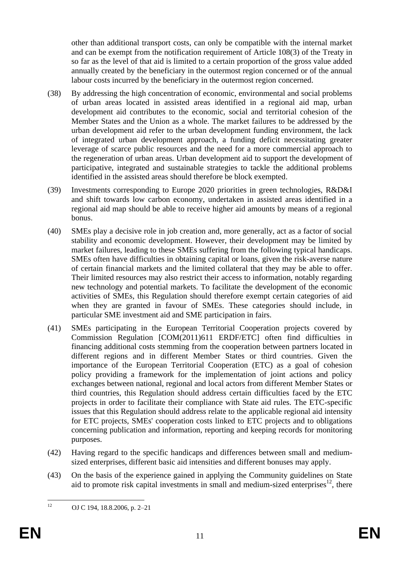other than additional transport costs, can only be compatible with the internal market and can be exempt from the notification requirement of Article 108(3) of the Treaty in so far as the level of that aid is limited to a certain proportion of the gross value added annually created by the beneficiary in the outermost region concerned or of the annual labour costs incurred by the beneficiary in the outermost region concerned.

- (38) By addressing the high concentration of economic, environmental and social problems of urban areas located in assisted areas identified in a regional aid map, urban development aid contributes to the economic, social and territorial cohesion of the Member States and the Union as a whole. The market failures to be addressed by the urban development aid refer to the urban development funding environment, the lack of integrated urban development approach, a funding deficit necessitating greater leverage of scarce public resources and the need for a more commercial approach to the regeneration of urban areas. Urban development aid to support the development of participative, integrated and sustainable strategies to tackle the additional problems identified in the assisted areas should therefore be block exempted.
- (39) Investments corresponding to Europe 2020 priorities in green technologies, R&D&I and shift towards low carbon economy, undertaken in assisted areas identified in a regional aid map should be able to receive higher aid amounts by means of a regional bonus.
- (40) SMEs play a decisive role in job creation and, more generally, act as a factor of social stability and economic development. However, their development may be limited by market failures, leading to these SMEs suffering from the following typical handicaps. SMEs often have difficulties in obtaining capital or loans, given the risk-averse nature of certain financial markets and the limited collateral that they may be able to offer. Their limited resources may also restrict their access to information, notably regarding new technology and potential markets. To facilitate the development of the economic activities of SMEs, this Regulation should therefore exempt certain categories of aid when they are granted in favour of SMEs. These categories should include, in particular SME investment aid and SME participation in fairs.
- (41) SMEs participating in the European Territorial Cooperation projects covered by Commission Regulation [COM(2011)611 ERDF/ETC] often find difficulties in financing additional costs stemming from the cooperation between partners located in different regions and in different Member States or third countries. Given the importance of the European Territorial Cooperation (ETC) as a goal of cohesion policy providing a framework for the implementation of joint actions and policy exchanges between national, regional and local actors from different Member States or third countries, this Regulation should address certain difficulties faced by the ETC projects in order to facilitate their compliance with State aid rules. The ETC-specific issues that this Regulation should address relate to the applicable regional aid intensity for ETC projects, SMEs' cooperation costs linked to ETC projects and to obligations concerning publication and information, reporting and keeping records for monitoring purposes.
- (42) Having regard to the specific handicaps and differences between small and mediumsized enterprises, different basic aid intensities and different bonuses may apply.
- (43) On the basis of the experience gained in applying the Community guidelines on State aid to promote risk capital investments in small and medium-sized enterprises $^{12}$ , there

 $12$ OJ C 194, 18.8.2006, p. 2–21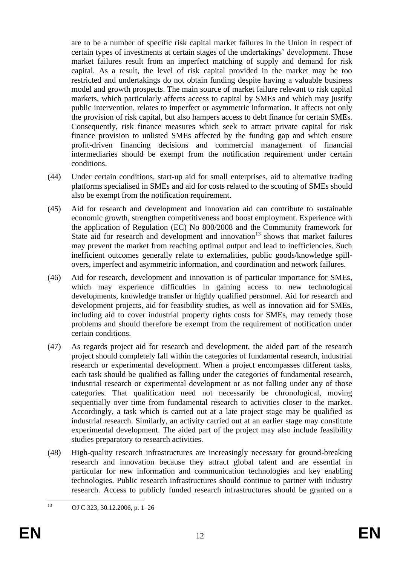are to be a number of specific risk capital market failures in the Union in respect of certain types of investments at certain stages of the undertakings' development. Those market failures result from an imperfect matching of supply and demand for risk capital. As a result, the level of risk capital provided in the market may be too restricted and undertakings do not obtain funding despite having a valuable business model and growth prospects. The main source of market failure relevant to risk capital markets, which particularly affects access to capital by SMEs and which may justify public intervention, relates to imperfect or asymmetric information. It affects not only the provision of risk capital, but also hampers access to debt finance for certain SMEs. Consequently, risk finance measures which seek to attract private capital for risk finance provision to unlisted SMEs affected by the funding gap and which ensure profit-driven financing decisions and commercial management of financial intermediaries should be exempt from the notification requirement under certain conditions.

- (44) Under certain conditions, start-up aid for small enterprises, aid to alternative trading platforms specialised in SMEs and aid for costs related to the scouting of SMEs should also be exempt from the notification requirement.
- (45) Aid for research and development and innovation aid can contribute to sustainable economic growth, strengthen competitiveness and boost employment. Experience with the application of Regulation (EC) No 800/2008 and the Community framework for State aid for research and development and innovation<sup>13</sup> shows that market failures may prevent the market from reaching optimal output and lead to inefficiencies. Such inefficient outcomes generally relate to externalities, public goods/knowledge spillovers, imperfect and asymmetric information, and coordination and network failures.
- (46) Aid for research, development and innovation is of particular importance for SMEs, which may experience difficulties in gaining access to new technological developments, knowledge transfer or highly qualified personnel. Aid for research and development projects, aid for feasibility studies, as well as innovation aid for SMEs, including aid to cover industrial property rights costs for SMEs, may remedy those problems and should therefore be exempt from the requirement of notification under certain conditions.
- (47) As regards project aid for research and development, the aided part of the research project should completely fall within the categories of fundamental research, industrial research or experimental development. When a project encompasses different tasks, each task should be qualified as falling under the categories of fundamental research, industrial research or experimental development or as not falling under any of those categories. That qualification need not necessarily be chronological, moving sequentially over time from fundamental research to activities closer to the market. Accordingly, a task which is carried out at a late project stage may be qualified as industrial research. Similarly, an activity carried out at an earlier stage may constitute experimental development. The aided part of the project may also include feasibility studies preparatory to research activities.
- (48) High-quality research infrastructures are increasingly necessary for ground-breaking research and innovation because they attract global talent and are essential in particular for new information and communication technologies and key enabling technologies. Public research infrastructures should continue to partner with industry research. Access to publicly funded research infrastructures should be granted on a

 $13$ OJ C 323, 30.12.2006, p. 1–26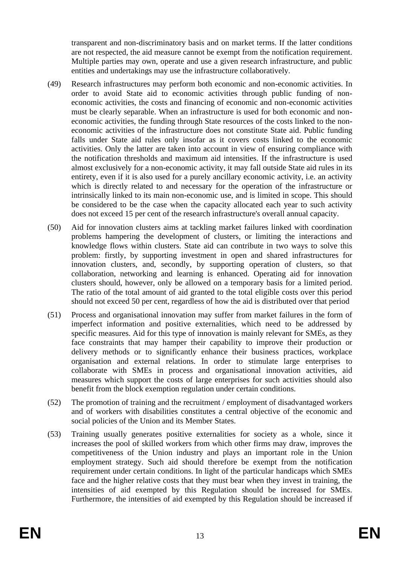transparent and non-discriminatory basis and on market terms. If the latter conditions are not respected, the aid measure cannot be exempt from the notification requirement. Multiple parties may own, operate and use a given research infrastructure, and public entities and undertakings may use the infrastructure collaboratively.

- (49) Research infrastructures may perform both economic and non-economic activities. In order to avoid State aid to economic activities through public funding of noneconomic activities, the costs and financing of economic and non-economic activities must be clearly separable. When an infrastructure is used for both economic and noneconomic activities, the funding through State resources of the costs linked to the noneconomic activities of the infrastructure does not constitute State aid. Public funding falls under State aid rules only insofar as it covers costs linked to the economic activities. Only the latter are taken into account in view of ensuring compliance with the notification thresholds and maximum aid intensities. If the infrastructure is used almost exclusively for a non-economic activity, it may fall outside State aid rules in its entirety, even if it is also used for a purely ancillary economic activity, i.e. an activity which is directly related to and necessary for the operation of the infrastructure or intrinsically linked to its main non-economic use, and is limited in scope. This should be considered to be the case when the capacity allocated each year to such activity does not exceed 15 per cent of the research infrastructure's overall annual capacity.
- (50) Aid for innovation clusters aims at tackling market failures linked with coordination problems hampering the development of clusters, or limiting the interactions and knowledge flows within clusters. State aid can contribute in two ways to solve this problem: firstly, by supporting investment in open and shared infrastructures for innovation clusters, and, secondly, by supporting operation of clusters, so that collaboration, networking and learning is enhanced. Operating aid for innovation clusters should, however, only be allowed on a temporary basis for a limited period. The ratio of the total amount of aid granted to the total eligible costs over this period should not exceed 50 per cent, regardless of how the aid is distributed over that period
- (51) Process and organisational innovation may suffer from market failures in the form of imperfect information and positive externalities, which need to be addressed by specific measures. Aid for this type of innovation is mainly relevant for SMEs, as they face constraints that may hamper their capability to improve their production or delivery methods or to significantly enhance their business practices, workplace organisation and external relations. In order to stimulate large enterprises to collaborate with SMEs in process and organisational innovation activities, aid measures which support the costs of large enterprises for such activities should also benefit from the block exemption regulation under certain conditions.
- (52) The promotion of training and the recruitment / employment of disadvantaged workers and of workers with disabilities constitutes a central objective of the economic and social policies of the Union and its Member States.
- (53) Training usually generates positive externalities for society as a whole, since it increases the pool of skilled workers from which other firms may draw, improves the competitiveness of the Union industry and plays an important role in the Union employment strategy. Such aid should therefore be exempt from the notification requirement under certain conditions. In light of the particular handicaps which SMEs face and the higher relative costs that they must bear when they invest in training, the intensities of aid exempted by this Regulation should be increased for SMEs. Furthermore, the intensities of aid exempted by this Regulation should be increased if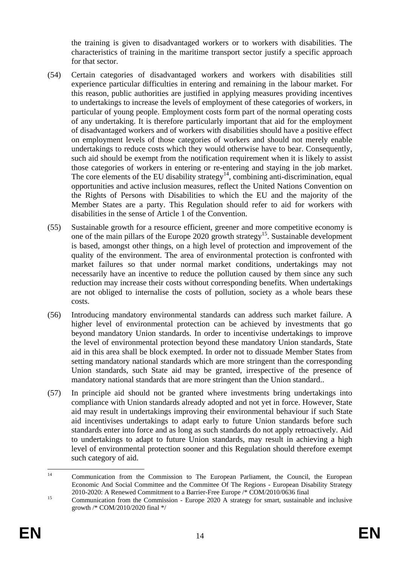the training is given to disadvantaged workers or to workers with disabilities. The characteristics of training in the maritime transport sector justify a specific approach for that sector.

- (54) Certain categories of disadvantaged workers and workers with disabilities still experience particular difficulties in entering and remaining in the labour market. For this reason, public authorities are justified in applying measures providing incentives to undertakings to increase the levels of employment of these categories of workers, in particular of young people. Employment costs form part of the normal operating costs of any undertaking. It is therefore particularly important that aid for the employment of disadvantaged workers and of workers with disabilities should have a positive effect on employment levels of those categories of workers and should not merely enable undertakings to reduce costs which they would otherwise have to bear. Consequently, such aid should be exempt from the notification requirement when it is likely to assist those categories of workers in entering or re-entering and staying in the job market. The core elements of the EU disability strategy<sup>14</sup>, combining anti-discrimination, equal opportunities and active inclusion measures, reflect the United Nations Convention on the Rights of Persons with Disabilities to which the EU and the majority of the Member States are a party. This Regulation should refer to aid for workers with disabilities in the sense of Article 1 of the Convention.
- (55) Sustainable growth for a resource efficient, greener and more competitive economy is one of the main pillars of the Europe 2020 growth strategy<sup>15</sup>. Sustainable development is based, amongst other things, on a high level of protection and improvement of the quality of the environment. The area of environmental protection is confronted with market failures so that under normal market conditions, undertakings may not necessarily have an incentive to reduce the pollution caused by them since any such reduction may increase their costs without corresponding benefits. When undertakings are not obliged to internalise the costs of pollution, society as a whole bears these costs.
- (56) Introducing mandatory environmental standards can address such market failure. A higher level of environmental protection can be achieved by investments that go beyond mandatory Union standards. In order to incentivise undertakings to improve the level of environmental protection beyond these mandatory Union standards, State aid in this area shall be block exempted. In order not to dissuade Member States from setting mandatory national standards which are more stringent than the corresponding Union standards, such State aid may be granted, irrespective of the presence of mandatory national standards that are more stringent than the Union standard..
- (57) In principle aid should not be granted where investments bring undertakings into compliance with Union standards already adopted and not yet in force. However, State aid may result in undertakings improving their environmental behaviour if such State aid incentivises undertakings to adapt early to future Union standards before such standards enter into force and as long as such standards do not apply retroactively. Aid to undertakings to adapt to future Union standards, may result in achieving a high level of environmental protection sooner and this Regulation should therefore exempt such category of aid.

 $14$ <sup>14</sup> Communication from the Commission to The European Parliament, the Council, the European Economic And Social Committee and the Committee Of The Regions - European Disability Strategy 2010-2020: A Renewed Commitment to a Barrier-Free Europe /\* COM/2010/0636 final

<sup>&</sup>lt;sup>15</sup> Communication from the Commission - Europe 2020 A strategy for smart, sustainable and inclusive growth /\* COM/2010/2020 final \*/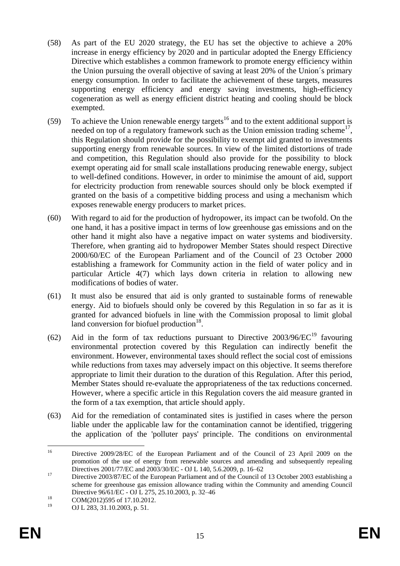- (58) As part of the EU 2020 strategy, the EU has set the objective to achieve a 20% increase in energy efficiency by 2020 and in particular adopted the Energy Efficiency Directive which establishes a common framework to promote energy efficiency within the Union pursuing the overall objective of saving at least 20% of the Union´s primary energy consumption. In order to facilitate the achievement of these targets, measures supporting energy efficiency and energy saving investments, high-efficiency cogeneration as well as energy efficient district heating and cooling should be block exempted.
- (59) To achieve the Union renewable energy targets<sup>16</sup> and to the extent additional support is needed on top of a regulatory framework such as the Union emission trading scheme<sup>17</sup>, this Regulation should provide for the possibility to exempt aid granted to investments supporting energy from renewable sources. In view of the limited distortions of trade and competition, this Regulation should also provide for the possibility to block exempt operating aid for small scale installations producing renewable energy, subject to well-defined conditions. However, in order to minimise the amount of aid, support for electricity production from renewable sources should only be block exempted if granted on the basis of a competitive bidding process and using a mechanism which exposes renewable energy producers to market prices.
- (60) With regard to aid for the production of hydropower, its impact can be twofold. On the one hand, it has a positive impact in terms of low greenhouse gas emissions and on the other hand it might also have a negative impact on water systems and biodiversity. Therefore, when granting aid to hydropower Member States should respect Directive 2000/60/EC of the European Parliament and of the Council of 23 October 2000 establishing a framework for Community action in the field of water policy and in particular Article 4(7) which lays down criteria in relation to allowing new modifications of bodies of water.
- (61) It must also be ensured that aid is only granted to sustainable forms of renewable energy. Aid to biofuels should only be covered by this Regulation in so far as it is granted for advanced biofuels in line with the Commission proposal to limit global land conversion for biofuel production $18$ .
- (62) Aid in the form of tax reductions pursuant to Directive  $2003/96/EC^{19}$  favouring environmental protection covered by this Regulation can indirectly benefit the environment. However, environmental taxes should reflect the social cost of emissions while reductions from taxes may adversely impact on this objective. It seems therefore appropriate to limit their duration to the duration of this Regulation. After this period, Member States should re-evaluate the appropriateness of the tax reductions concerned. However, where a specific article in this Regulation covers the aid measure granted in the form of a tax exemption, that article should apply.
- (63) Aid for the remediation of contaminated sites is justified in cases where the person liable under the applicable law for the contamination cannot be identified, triggering the application of the 'polluter pays' principle. The conditions on environmental

 $16\,$ <sup>16</sup> Directive 2009/28/EC of the European Parliament and of the Council of 23 April 2009 on the promotion of the use of energy from renewable sources and amending and subsequently repealing Directives 2001/77/EC and 2003/30/EC - OJ L 140, 5.6.2009, p. 16–62

<sup>&</sup>lt;sup>17</sup> Directive 2003/87/EC of the European Parliament and of the Council of 13 October 2003 establishing a scheme for greenhouse gas emission allowance trading within the Community and amending Council Directive 96/61/EC - OJ L 275, 25.10.2003, p. 32–46

<sup>&</sup>lt;sup>18</sup> COM(2012)595 of 17.10.2012.

OJ L 283, 31.10.2003, p. 51.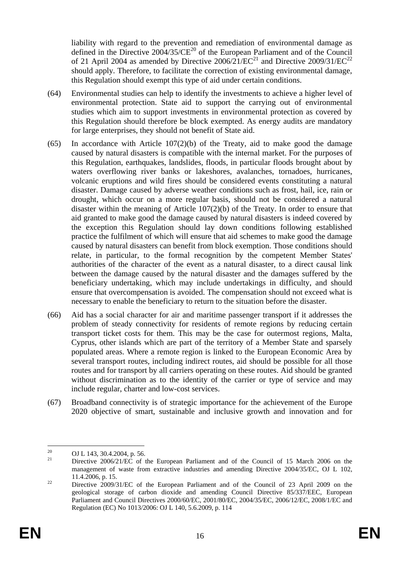liability with regard to the prevention and remediation of environmental damage as defined in the Directive 2004/35/CE<sup>20</sup> of the European Parliament and of the Council of 21 April 2004 as amended by Directive  $2006/21/EC^{21}$  and Directive  $2009/31/EC^{22}$ should apply. Therefore, to facilitate the correction of existing environmental damage, this Regulation should exempt this type of aid under certain conditions.

- (64) Environmental studies can help to identify the investments to achieve a higher level of environmental protection. State aid to support the carrying out of environmental studies which aim to support investments in environmental protection as covered by this Regulation should therefore be block exempted. As energy audits are mandatory for large enterprises, they should not benefit of State aid.
- (65) In accordance with Article 107(2)(b) of the Treaty, aid to make good the damage caused by natural disasters is compatible with the internal market. For the purposes of this Regulation, earthquakes, landslides, floods, in particular floods brought about by waters overflowing river banks or lakeshores, avalanches, tornadoes, hurricanes, volcanic eruptions and wild fires should be considered events constituting a natural disaster. Damage caused by adverse weather conditions such as frost, hail, ice, rain or drought, which occur on a more regular basis, should not be considered a natural disaster within the meaning of Article 107(2)(b) of the Treaty. In order to ensure that aid granted to make good the damage caused by natural disasters is indeed covered by the exception this Regulation should lay down conditions following established practice the fulfilment of which will ensure that aid schemes to make good the damage caused by natural disasters can benefit from block exemption. Those conditions should relate, in particular, to the formal recognition by the competent Member States' authorities of the character of the event as a natural disaster, to a direct causal link between the damage caused by the natural disaster and the damages suffered by the beneficiary undertaking, which may include undertakings in difficulty, and should ensure that overcompensation is avoided. The compensation should not exceed what is necessary to enable the beneficiary to return to the situation before the disaster.
- (66) Aid has a social character for air and maritime passenger transport if it addresses the problem of steady connectivity for residents of remote regions by reducing certain transport ticket costs for them. This may be the case for outermost regions, Malta, Cyprus, other islands which are part of the territory of a Member State and sparsely populated areas. Where a remote region is linked to the European Economic Area by several transport routes, including indirect routes, aid should be possible for all those routes and for transport by all carriers operating on these routes. Aid should be granted without discrimination as to the identity of the carrier or type of service and may include regular, charter and low-cost services.
- (67) Broadband connectivity is of strategic importance for the achievement of the Europe 2020 objective of smart, sustainable and inclusive growth and innovation and for

<sup>20</sup> <sup>20</sup> OJ L 143, 30.4.2004, p. 56.

<sup>21</sup> Directive 2006/21/EC of the European Parliament and of the Council of 15 March 2006 on the management of waste from extractive industries and amending Directive 2004/35/EC, OJ L 102, 11.4.2006, p. 15.

<sup>&</sup>lt;sup>22</sup> Directive 2009/31/EC of the European Parliament and of the Council of 23 April 2009 on the geological storage of carbon dioxide and amending Council Directive 85/337/EEC, European Parliament and Council Directives 2000/60/EC, 2001/80/EC, 2004/35/EC, 2006/12/EC, 2008/1/EC and Regulation (EC) No 1013/2006: OJ L 140, 5.6.2009, p. 114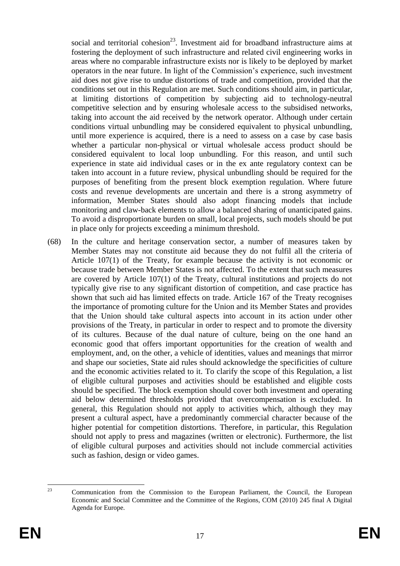social and territorial cohesion<sup>23</sup>. Investment aid for broadband infrastructure aims at fostering the deployment of such infrastructure and related civil engineering works in areas where no comparable infrastructure exists nor is likely to be deployed by market operators in the near future. In light of the Commission's experience, such investment aid does not give rise to undue distortions of trade and competition, provided that the conditions set out in this Regulation are met. Such conditions should aim, in particular, at limiting distortions of competition by subjecting aid to technology-neutral competitive selection and by ensuring wholesale access to the subsidised networks, taking into account the aid received by the network operator. Although under certain conditions virtual unbundling may be considered equivalent to physical unbundling, until more experience is acquired, there is a need to assess on a case by case basis whether a particular non-physical or virtual wholesale access product should be considered equivalent to local loop unbundling. For this reason, and until such experience in state aid individual cases or in the ex ante regulatory context can be taken into account in a future review, physical unbundling should be required for the purposes of benefiting from the present block exemption regulation. Where future costs and revenue developments are uncertain and there is a strong asymmetry of information, Member States should also adopt financing models that include monitoring and claw-back elements to allow a balanced sharing of unanticipated gains. To avoid a disproportionate burden on small, local projects, such models should be put in place only for projects exceeding a minimum threshold.

(68) In the culture and heritage conservation sector, a number of measures taken by Member States may not constitute aid because they do not fulfil all the criteria of Article 107(1) of the Treaty, for example because the activity is not economic or because trade between Member States is not affected. To the extent that such measures are covered by Article 107(1) of the Treaty, cultural institutions and projects do not typically give rise to any significant distortion of competition, and case practice has shown that such aid has limited effects on trade. Article 167 of the Treaty recognises the importance of promoting culture for the Union and its Member States and provides that the Union should take cultural aspects into account in its action under other provisions of the Treaty, in particular in order to respect and to promote the diversity of its cultures. Because of the dual nature of culture, being on the one hand an economic good that offers important opportunities for the creation of wealth and employment, and, on the other, a vehicle of identities, values and meanings that mirror and shape our societies, State aid rules should acknowledge the specificities of culture and the economic activities related to it. To clarify the scope of this Regulation, a list of eligible cultural purposes and activities should be established and eligible costs should be specified. The block exemption should cover both investment and operating aid below determined thresholds provided that overcompensation is excluded. In general, this Regulation should not apply to activities which, although they may present a cultural aspect, have a predominantly commercial character because of the higher potential for competition distortions. Therefore, in particular, this Regulation should not apply to press and magazines (written or electronic). Furthermore, the list of eligible cultural purposes and activities should not include commercial activities such as fashion, design or video games.

 $2<sup>2</sup>$ 

<sup>23</sup> Communication from the Commission to the European Parliament, the Council, the European Economic and Social Committee and the Committee of the Regions, COM (2010) 245 final A Digital Agenda for Europe.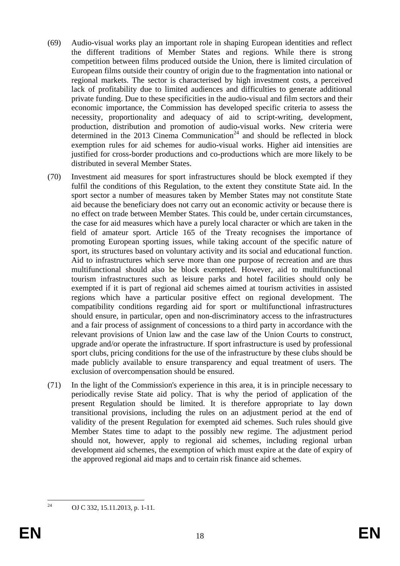- (69) Audio-visual works play an important role in shaping European identities and reflect the different traditions of Member States and regions. While there is strong competition between films produced outside the Union, there is limited circulation of European films outside their country of origin due to the fragmentation into national or regional markets. The sector is characterised by high investment costs, a perceived lack of profitability due to limited audiences and difficulties to generate additional private funding. Due to these specificities in the audio-visual and film sectors and their economic importance, the Commission has developed specific criteria to assess the necessity, proportionality and adequacy of aid to script-writing, development, production, distribution and promotion of audio-visual works. New criteria were determined in the 2013 Cinema Communication<sup>24</sup> and should be reflected in block exemption rules for aid schemes for audio-visual works. Higher aid intensities are justified for cross-border productions and co-productions which are more likely to be distributed in several Member States.
- (70) Investment aid measures for sport infrastructures should be block exempted if they fulfil the conditions of this Regulation, to the extent they constitute State aid. In the sport sector a number of measures taken by Member States may not constitute State aid because the beneficiary does not carry out an economic activity or because there is no effect on trade between Member States. This could be, under certain circumstances, the case for aid measures which have a purely local character or which are taken in the field of amateur sport. Article 165 of the Treaty recognises the importance of promoting European sporting issues, while taking account of the specific nature of sport, its structures based on voluntary activity and its social and educational function. Aid to infrastructures which serve more than one purpose of recreation and are thus multifunctional should also be block exempted. However, aid to multifunctional tourism infrastructures such as leisure parks and hotel facilities should only be exempted if it is part of regional aid schemes aimed at tourism activities in assisted regions which have a particular positive effect on regional development. The compatibility conditions regarding aid for sport or multifunctional infrastructures should ensure, in particular, open and non-discriminatory access to the infrastructures and a fair process of assignment of concessions to a third party in accordance with the relevant provisions of Union law and the case law of the Union Courts to construct, upgrade and/or operate the infrastructure. If sport infrastructure is used by professional sport clubs, pricing conditions for the use of the infrastructure by these clubs should be made publicly available to ensure transparency and equal treatment of users. The exclusion of overcompensation should be ensured.
- (71) In the light of the Commission's experience in this area, it is in principle necessary to periodically revise State aid policy. That is why the period of application of the present Regulation should be limited. It is therefore appropriate to lay down transitional provisions, including the rules on an adjustment period at the end of validity of the present Regulation for exempted aid schemes. Such rules should give Member States time to adapt to the possibly new regime. The adjustment period should not, however, apply to regional aid schemes, including regional urban development aid schemes, the exemption of which must expire at the date of expiry of the approved regional aid maps and to certain risk finance aid schemes.

 $24$ OJ C 332, 15.11.2013, p. 1-11.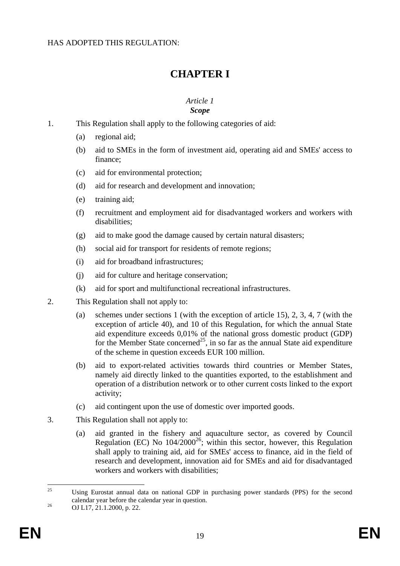# **CHAPTER I**

#### <span id="page-18-1"></span>*Article 1 Scope*

- <span id="page-18-0"></span>1. This Regulation shall apply to the following categories of aid:
	- (a) regional aid;
	- (b) aid to SMEs in the form of investment aid, operating aid and SMEs' access to finance;
	- (c) aid for environmental protection;
	- (d) aid for research and development and innovation;
	- (e) training aid;
	- (f) recruitment and employment aid for disadvantaged workers and workers with disabilities;
	- (g) aid to make good the damage caused by certain natural disasters;
	- (h) social aid for transport for residents of remote regions;
	- (i) aid for broadband infrastructures;
	- (j) aid for culture and heritage conservation;
	- (k) aid for sport and multifunctional recreational infrastructures.
- 2. This Regulation shall not apply to:
	- (a) schemes under sections 1 (with the exception of article 15), 2, 3, 4, 7 (with the exception of article 40), and 10 of this Regulation, for which the annual State aid expenditure exceeds 0,01% of the national gross domestic product (GDP) for the Member State concerned<sup>25</sup>, in so far as the annual State aid expenditure of the scheme in question exceeds EUR 100 million.
	- (b) aid to export-related activities towards third countries or Member States, namely aid directly linked to the quantities exported, to the establishment and operation of a distribution network or to other current costs linked to the export activity;
	- (c) aid contingent upon the use of domestic over imported goods.
- 3. This Regulation shall not apply to:
	- (a) aid granted in the fishery and aquaculture sector, as covered by Council Regulation (EC) No  $104/2000^{26}$ ; within this sector, however, this Regulation shall apply to training aid, aid for SMEs' access to finance, aid in the field of research and development, innovation aid for SMEs and aid for disadvantaged workers and workers with disabilities;

 $25$ <sup>25</sup> Using Eurostat annual data on national GDP in purchasing power standards (PPS) for the second calendar year before the calendar year in question.

<sup>26</sup> OJ L17, 21.1.2000, p. 22.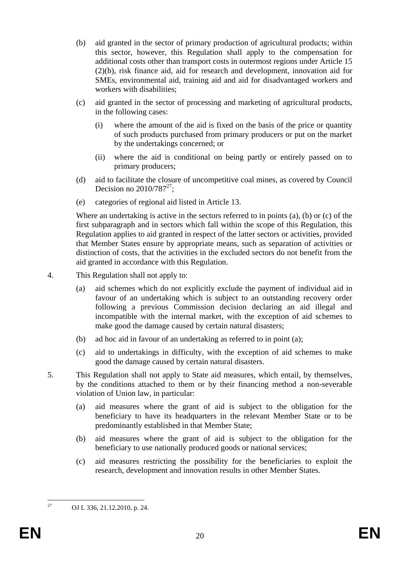- (b) aid granted in the sector of primary production of agricultural products; within this sector, however, this Regulation shall apply to the compensation for additional costs other than transport costs in outermost regions under Article 15 (2)(b), risk finance aid, aid for research and development, innovation aid for SMEs, environmental aid, training aid and aid for disadvantaged workers and workers with disabilities;
- (c) aid granted in the sector of processing and marketing of agricultural products, in the following cases:
	- (i) where the amount of the aid is fixed on the basis of the price or quantity of such products purchased from primary producers or put on the market by the undertakings concerned; or
	- (ii) where the aid is conditional on being partly or entirely passed on to primary producers;
- (d) aid to facilitate the closure of uncompetitive coal mines, as covered by Council Decision no  $2010/787^{27}$ ;
- (e) categories of regional aid listed in Article 13.

Where an undertaking is active in the sectors referred to in points (a), (b) or (c) of the first subparagraph and in sectors which fall within the scope of this Regulation, this Regulation applies to aid granted in respect of the latter sectors or activities, provided that Member States ensure by appropriate means, such as separation of activities or distinction of costs, that the activities in the excluded sectors do not benefit from the aid granted in accordance with this Regulation.

- 4. This Regulation shall not apply to:
	- (a) aid schemes which do not explicitly exclude the payment of individual aid in favour of an undertaking which is subject to an outstanding recovery order following a previous Commission decision declaring an aid illegal and incompatible with the internal market, with the exception of aid schemes to make good the damage caused by certain natural disasters;
	- (b) ad hoc aid in favour of an undertaking as referred to in point (a);
	- (c) aid to undertakings in difficulty, with the exception of aid schemes to make good the damage caused by certain natural disasters.
- 5. This Regulation shall not apply to State aid measures, which entail, by themselves, by the conditions attached to them or by their financing method a non-severable violation of Union law, in particular:
	- (a) aid measures where the grant of aid is subject to the obligation for the beneficiary to have its headquarters in the relevant Member State or to be predominantly established in that Member State;
	- (b) aid measures where the grant of aid is subject to the obligation for the beneficiary to use nationally produced goods or national services;
	- (c) aid measures restricting the possibility for the beneficiaries to exploit the research, development and innovation results in other Member States.

 $27$ 

OJ L 336, 21.12.2010, p. 24.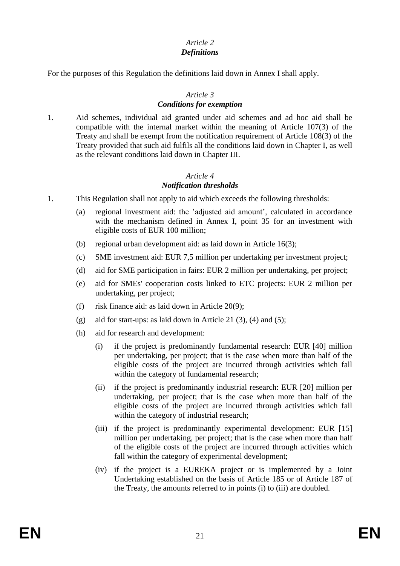# *Article 2 Definitions*

For the purposes of this Regulation the definitions laid down in Annex I shall apply.

# *Article 3*

### *Conditions for exemption*

1. Aid schemes, individual aid granted under aid schemes and ad hoc aid shall be compatible with the internal market within the meaning of Article 107(3) of the Treaty and shall be exempt from the notification requirement of Article 108(3) of the Treaty provided that such aid fulfils all the conditions laid down in Chapter I, as well as the relevant conditions laid down in Chapter III.

### *Article 4 Notification thresholds*

- 1. This Regulation shall not apply to aid which exceeds the following thresholds:
	- (a) regional investment aid: the 'adjusted aid amount', calculated in accordance with the mechanism defined in Annex I, point 35 for an investment with eligible costs of EUR 100 million;
	- (b) regional urban development aid: as laid down in Article 16(3);
	- (c) SME investment aid: EUR 7,5 million per undertaking per investment project;
	- (d) aid for SME participation in fairs: EUR 2 million per undertaking, per project;
	- (e) aid for SMEs' cooperation costs linked to ETC projects: EUR 2 million per undertaking, per project;
	- (f) risk finance aid: as laid down in Article  $20(9)$ ;
	- (g) aid for start-ups: as laid down in Article 21  $(3)$ ,  $(4)$  and  $(5)$ ;
	- (h) aid for research and development:
		- (i) if the project is predominantly fundamental research: EUR [40] million per undertaking, per project; that is the case when more than half of the eligible costs of the project are incurred through activities which fall within the category of fundamental research;
		- (ii) if the project is predominantly industrial research: EUR [20] million per undertaking, per project; that is the case when more than half of the eligible costs of the project are incurred through activities which fall within the category of industrial research;
		- (iii) if the project is predominantly experimental development: EUR [15] million per undertaking, per project; that is the case when more than half of the eligible costs of the project are incurred through activities which fall within the category of experimental development;
		- (iv) if the project is a EUREKA project or is implemented by a Joint Undertaking established on the basis of Article 185 or of Article 187 of the Treaty, the amounts referred to in points (i) to (iii) are doubled.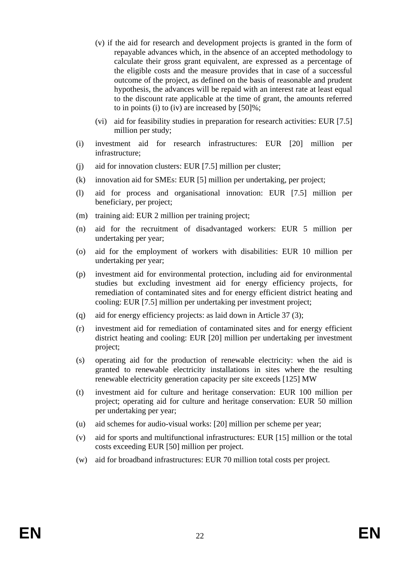- (v) if the aid for research and development projects is granted in the form of repayable advances which, in the absence of an accepted methodology to calculate their gross grant equivalent, are expressed as a percentage of the eligible costs and the measure provides that in case of a successful outcome of the project, as defined on the basis of reasonable and prudent hypothesis, the advances will be repaid with an interest rate at least equal to the discount rate applicable at the time of grant, the amounts referred to in points (i) to (iv) are increased by [50]%;
- (vi) aid for feasibility studies in preparation for research activities: EUR [7.5] million per study;
- (i) investment aid for research infrastructures: EUR [20] million per infrastructure;
- (j) aid for innovation clusters: EUR [7.5] million per cluster;
- (k) innovation aid for SMEs: EUR [5] million per undertaking, per project;
- (l) aid for process and organisational innovation: EUR [7.5] million per beneficiary, per project;
- (m) training aid: EUR 2 million per training project;
- (n) aid for the recruitment of disadvantaged workers: EUR 5 million per undertaking per year;
- (o) aid for the employment of workers with disabilities: EUR 10 million per undertaking per year;
- (p) investment aid for environmental protection, including aid for environmental studies but excluding investment aid for energy efficiency projects, for remediation of contaminated sites and for energy efficient district heating and cooling: EUR [7.5] million per undertaking per investment project;
- (q) aid for energy efficiency projects: as laid down in Article 37 (3);
- (r) investment aid for remediation of contaminated sites and for energy efficient district heating and cooling: EUR [20] million per undertaking per investment project;
- (s) operating aid for the production of renewable electricity: when the aid is granted to renewable electricity installations in sites where the resulting renewable electricity generation capacity per site exceeds [125] MW
- (t) investment aid for culture and heritage conservation: EUR 100 million per project; operating aid for culture and heritage conservation: EUR 50 million per undertaking per year;
- (u) aid schemes for audio-visual works: [20] million per scheme per year;
- (v) aid for sports and multifunctional infrastructures: EUR [15] million or the total costs exceeding EUR [50] million per project.
- (w) aid for broadband infrastructures: EUR 70 million total costs per project.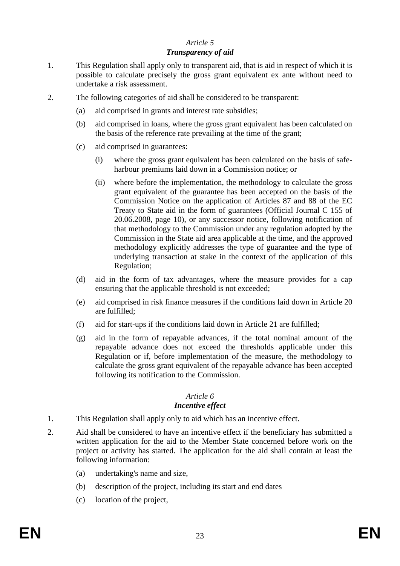# *Article 5*

### *Transparency of aid*

- 1. This Regulation shall apply only to transparent aid, that is aid in respect of which it is possible to calculate precisely the gross grant equivalent ex ante without need to undertake a risk assessment.
- 2. The following categories of aid shall be considered to be transparent:
	- (a) aid comprised in grants and interest rate subsidies;
	- (b) aid comprised in loans, where the gross grant equivalent has been calculated on the basis of the reference rate prevailing at the time of the grant;
	- (c) aid comprised in guarantees:
		- (i) where the gross grant equivalent has been calculated on the basis of safeharbour premiums laid down in a Commission notice; or
		- (ii) where before the implementation, the methodology to calculate the gross grant equivalent of the guarantee has been accepted on the basis of the Commission Notice on the application of Articles 87 and 88 of the EC Treaty to State aid in the form of guarantees (Official Journal C 155 of 20.06.2008, page 10), or any successor notice, following notification of that methodology to the Commission under any regulation adopted by the Commission in the State aid area applicable at the time, and the approved methodology explicitly addresses the type of guarantee and the type of underlying transaction at stake in the context of the application of this Regulation;
	- (d) aid in the form of tax advantages, where the measure provides for a cap ensuring that the applicable threshold is not exceeded;
	- (e) aid comprised in risk finance measures if the conditions laid down in Article 20 are fulfilled;
	- (f) aid for start-ups if the conditions laid down in Article 21 are fulfilled;
	- (g) aid in the form of repayable advances, if the total nominal amount of the repayable advance does not exceed the thresholds applicable under this Regulation or if, before implementation of the measure, the methodology to calculate the gross grant equivalent of the repayable advance has been accepted following its notification to the Commission.

# *Article 6*

# *Incentive effect*

- 1. This Regulation shall apply only to aid which has an incentive effect.
- 2. Aid shall be considered to have an incentive effect if the beneficiary has submitted a written application for the aid to the Member State concerned before work on the project or activity has started. The application for the aid shall contain at least the following information:
	- (a) undertaking's name and size,
	- (b) description of the project, including its start and end dates
	- (c) location of the project,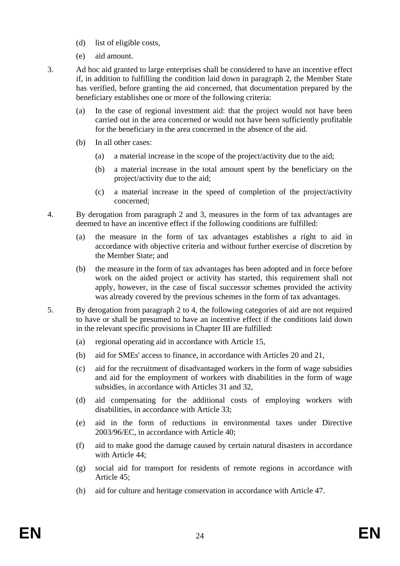- (d) list of eligible costs,
- (e) aid amount.
- 3. Ad hoc aid granted to large enterprises shall be considered to have an incentive effect if, in addition to fulfilling the condition laid down in paragraph 2, the Member State has verified, before granting the aid concerned, that documentation prepared by the beneficiary establishes one or more of the following criteria:
	- (a) In the case of regional investment aid: that the project would not have been carried out in the area concerned or would not have been sufficiently profitable for the beneficiary in the area concerned in the absence of the aid.
	- (b) In all other cases:
		- (a) a material increase in the scope of the project/activity due to the aid;
		- (b) a material increase in the total amount spent by the beneficiary on the project/activity due to the aid;
		- (c) a material increase in the speed of completion of the project/activity concerned;
- 4. By derogation from paragraph 2 and 3, measures in the form of tax advantages are deemed to have an incentive effect if the following conditions are fulfilled:
	- (a) the measure in the form of tax advantages establishes a right to aid in accordance with objective criteria and without further exercise of discretion by the Member State; and
	- (b) the measure in the form of tax advantages has been adopted and in force before work on the aided project or activity has started, this requirement shall not apply, however, in the case of fiscal successor schemes provided the activity was already covered by the previous schemes in the form of tax advantages.
- 5. By derogation from paragraph 2 to 4, the following categories of aid are not required to have or shall be presumed to have an incentive effect if the conditions laid down in the relevant specific provisions in Chapter III are fulfilled:
	- (a) regional operating aid in accordance with Article 15,
	- (b) aid for SMEs' access to finance, in accordance with Articles 20 and 21,
	- (c) aid for the recruitment of disadvantaged workers in the form of wage subsidies and aid for the employment of workers with disabilities in the form of wage subsidies, in accordance with Articles 31 and 32,
	- (d) aid compensating for the additional costs of employing workers with disabilities, in accordance with Article 33;
	- (e) aid in the form of reductions in environmental taxes under Directive 2003/96/EC, in accordance with Article 40;
	- (f) aid to make good the damage caused by certain natural disasters in accordance with Article 44;
	- (g) social aid for transport for residents of remote regions in accordance with Article 45;
	- (h) aid for culture and heritage conservation in accordance with Article 47.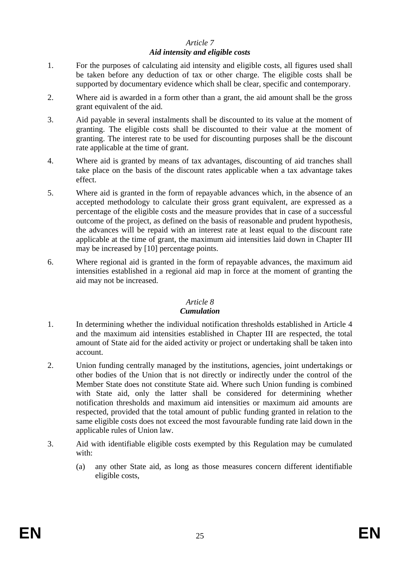# *Article 7*

### *Aid intensity and eligible costs*

- 1. For the purposes of calculating aid intensity and eligible costs, all figures used shall be taken before any deduction of tax or other charge. The eligible costs shall be supported by documentary evidence which shall be clear, specific and contemporary.
- 2. Where aid is awarded in a form other than a grant, the aid amount shall be the gross grant equivalent of the aid.
- 3. Aid payable in several instalments shall be discounted to its value at the moment of granting. The eligible costs shall be discounted to their value at the moment of granting. The interest rate to be used for discounting purposes shall be the discount rate applicable at the time of grant.
- 4. Where aid is granted by means of tax advantages, discounting of aid tranches shall take place on the basis of the discount rates applicable when a tax advantage takes effect.
- 5. Where aid is granted in the form of repayable advances which, in the absence of an accepted methodology to calculate their gross grant equivalent, are expressed as a percentage of the eligible costs and the measure provides that in case of a successful outcome of the project, as defined on the basis of reasonable and prudent hypothesis, the advances will be repaid with an interest rate at least equal to the discount rate applicable at the time of grant, the maximum aid intensities laid down in Chapter III may be increased by [10] percentage points.
- 6. Where regional aid is granted in the form of repayable advances, the maximum aid intensities established in a regional aid map in force at the moment of granting the aid may not be increased.

### *Article 8*

### *Cumulation*

- 1. In determining whether the individual notification thresholds established in Article 4 and the maximum aid intensities established in Chapter III are respected, the total amount of State aid for the aided activity or project or undertaking shall be taken into account.
- 2. Union funding centrally managed by the institutions, agencies, joint undertakings or other bodies of the Union that is not directly or indirectly under the control of the Member State does not constitute State aid. Where such Union funding is combined with State aid, only the latter shall be considered for determining whether notification thresholds and maximum aid intensities or maximum aid amounts are respected, provided that the total amount of public funding granted in relation to the same eligible costs does not exceed the most favourable funding rate laid down in the applicable rules of Union law.
- 3. Aid with identifiable eligible costs exempted by this Regulation may be cumulated with:
	- (a) any other State aid, as long as those measures concern different identifiable eligible costs,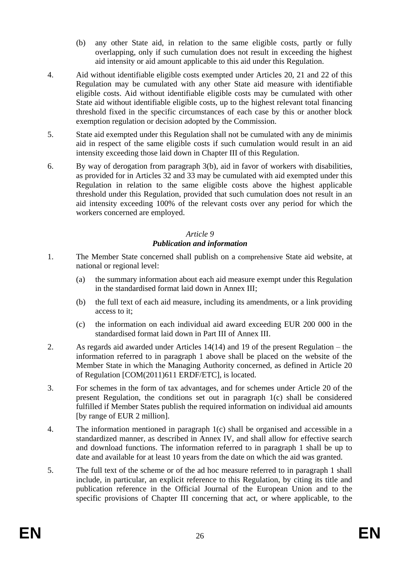- (b) any other State aid, in relation to the same eligible costs, partly or fully overlapping, only if such cumulation does not result in exceeding the highest aid intensity or aid amount applicable to this aid under this Regulation.
- 4. Aid without identifiable eligible costs exempted under Articles 20, 21 and 22 of this Regulation may be cumulated with any other State aid measure with identifiable eligible costs. Aid without identifiable eligible costs may be cumulated with other State aid without identifiable eligible costs, up to the highest relevant total financing threshold fixed in the specific circumstances of each case by this or another block exemption regulation or decision adopted by the Commission.
- 5. State aid exempted under this Regulation shall not be cumulated with any de minimis aid in respect of the same eligible costs if such cumulation would result in an aid intensity exceeding those laid down in Chapter III of this Regulation.
- 6. By way of derogation from paragraph 3(b), aid in favor of workers with disabilities, as provided for in Articles 32 and 33 may be cumulated with aid exempted under this Regulation in relation to the same eligible costs above the highest applicable threshold under this Regulation, provided that such cumulation does not result in an aid intensity exceeding 100% of the relevant costs over any period for which the workers concerned are employed.

#### *Article 9 Publication and information*

- 1. The Member State concerned shall publish on a comprehensive State aid website, at national or regional level:
	- (a) the summary information about each aid measure exempt under this Regulation in the standardised format laid down in Annex III;
	- (b) the full text of each aid measure, including its amendments, or a link providing access to it;
	- (c) the information on each individual aid award exceeding EUR 200 000 in the standardised format laid down in Part III of Annex III.
- 2. As regards aid awarded under Articles 14(14) and 19 of the present Regulation the information referred to in paragraph 1 above shall be placed on the website of the Member State in which the Managing Authority concerned, as defined in Article 20 of Regulation [COM(2011)611 ERDF/ETC], is located.
- 3. For schemes in the form of tax advantages, and for schemes under Article 20 of the present Regulation, the conditions set out in paragraph 1(c) shall be considered fulfilled if Member States publish the required information on individual aid amounts [by range of EUR 2 million].
- 4. The information mentioned in paragraph 1(c) shall be organised and accessible in a standardized manner, as described in Annex IV, and shall allow for effective search and download functions. The information referred to in paragraph 1 shall be up to date and available for at least 10 years from the date on which the aid was granted.
- 5. The full text of the scheme or of the ad hoc measure referred to in paragraph 1 shall include, in particular, an explicit reference to this Regulation, by citing its title and publication reference in the Official Journal of the European Union and to the specific provisions of Chapter [III](#page-28-2) concerning that act, or where applicable, to the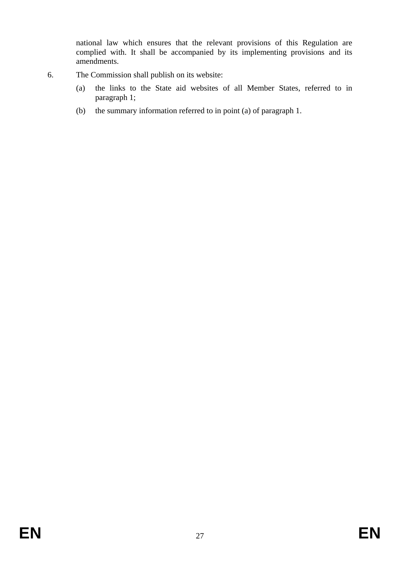national law which ensures that the relevant provisions of this Regulation are complied with. It shall be accompanied by its implementing provisions and its amendments.

- 6. The Commission shall publish on its website:
	- (a) the links to the State aid websites of all Member States, referred to in paragraph 1;
	- (b) the summary information referred to in point (a) of paragraph 1.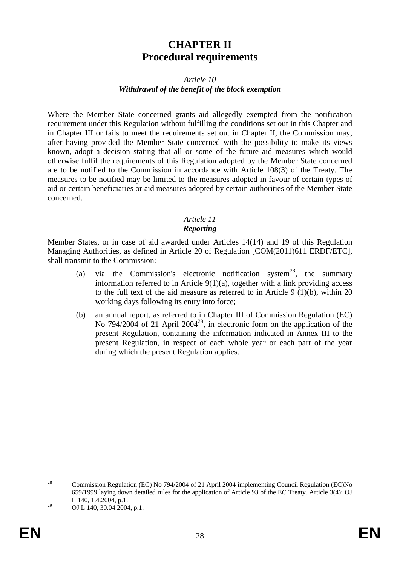# **CHAPTER II Procedural requirements**

### *Article 10 Withdrawal of the benefit of the block exemption*

<span id="page-27-0"></span>Where the Member State concerned grants aid allegedly exempted from the notification requirement under this Regulation without fulfilling the conditions set out in this Chapter and in Chapter III or fails to meet the requirements set out in Chapter II, the Commission may, after having provided the Member State concerned with the possibility to make its views known, adopt a decision stating that all or some of the future aid measures which would otherwise fulfil the requirements of this Regulation adopted by the Member State concerned are to be notified to the Commission in accordance with Article 108(3) of the Treaty. The measures to be notified may be limited to the measures adopted in favour of certain types of aid or certain beneficiaries or aid measures adopted by certain authorities of the Member State concerned.

### *Article 11 Reporting*

Member States, or in case of aid awarded under Articles 14(14) and 19 of this Regulation Managing Authorities, as defined in Article 20 of Regulation [COM(2011)611 ERDF/ETC], shall transmit to the Commission:

- (a) via the Commission's electronic notification system<sup>28</sup>, the summary information referred to in Article  $9(1)(a)$ , together with a link providing access to the full text of the aid measure as referred to in Article 9 (1)(b), within 20 working days following its entry into force;
- (b) an annual report, as referred to in Chapter III of Commission Regulation (EC) No 794/2004 of 21 April 2004<sup>29</sup>, in electronic form on the application of the present Regulation, containing the information indicated in Annex III to the present Regulation, in respect of each whole year or each part of the year during which the present Regulation applies.

 $28$ <sup>28</sup> Commission Regulation (EC) No 794/2004 of 21 April 2004 implementing Council Regulation (EC)No 659/1999 laying down detailed rules for the application of Article 93 of the EC Treaty, Article 3(4); OJ L 140, 1.4.2004, p.1.

 $^{29}$  OJ L 140, 30.04.2004, p.1.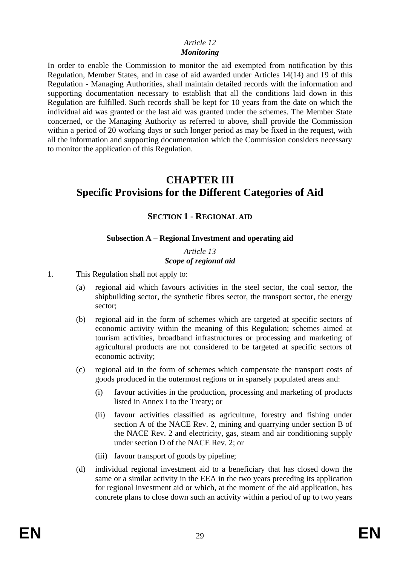### *Article 12 Monitoring*

In order to enable the Commission to monitor the aid exempted from notification by this Regulation, Member States, and in case of aid awarded under Articles 14(14) and 19 of this Regulation - Managing Authorities, shall maintain detailed records with the information and supporting documentation necessary to establish that all the conditions laid down in this Regulation are fulfilled. Such records shall be kept for 10 years from the date on which the individual aid was granted or the last aid was granted under the schemes. The Member State concerned, or the Managing Authority as referred to above, shall provide the Commission within a period of 20 working days or such longer period as may be fixed in the request, with all the information and supporting documentation which the Commission considers necessary to monitor the application of this Regulation.

# <span id="page-28-1"></span><span id="page-28-0"></span>**CHAPTER III Specific Provisions for the Different Categories of Aid**

# <span id="page-28-2"></span>**SECTION 1 - REGIONAL AID**

### **Subsection A – Regional Investment and operating aid**

*Article 13 Scope of regional aid*

1. This Regulation shall not apply to:

- (a) regional aid which favours activities in the steel sector, the coal sector, the shipbuilding sector, the synthetic fibres sector, the transport sector, the energy sector;
- (b) regional aid in the form of schemes which are targeted at specific sectors of economic activity within the meaning of this Regulation; schemes aimed at tourism activities, broadband infrastructures or processing and marketing of agricultural products are not considered to be targeted at specific sectors of economic activity;
- (c) regional aid in the form of schemes which compensate the transport costs of goods produced in the outermost regions or in sparsely populated areas and:
	- (i) favour activities in the production, processing and marketing of products listed in Annex I to the Treaty; or
	- (ii) favour activities classified as agriculture, forestry and fishing under section A of the NACE Rev. 2, mining and quarrying under section B of the NACE Rev. 2 and electricity, gas, steam and air conditioning supply under section D of the NACE Rev. 2; or
	- (iii) favour transport of goods by pipeline;
- (d) individual regional investment aid to a beneficiary that has closed down the same or a similar activity in the EEA in the two years preceding its application for regional investment aid or which, at the moment of the aid application, has concrete plans to close down such an activity within a period of up to two years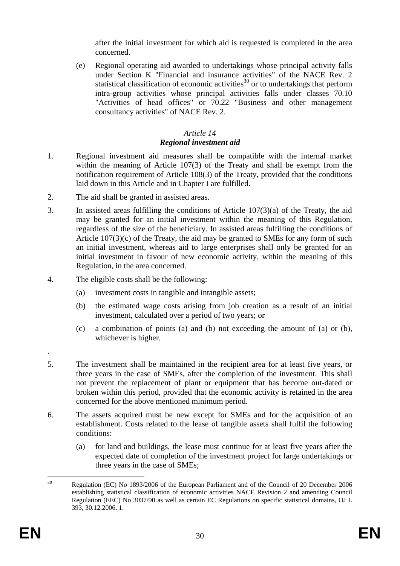after the initial investment for which aid is requested is completed in the area concerned.

(e) Regional operating aid awarded to undertakings whose principal activity falls under Section K "Financial and insurance activities" of the NACE Rev. 2 statistical classification of economic activities $30$  or to undertakings that perform intra-group activities whose principal activities falls under classes 70.10 "Activities of head offices" or 70.22 "Business and other management consultancy activities" of NACE Rev. 2.

# *Article 14*

# *Regional investment aid*

- 1. Regional investment aid measures shall be compatible with the internal market within the meaning of Article 107(3) of the Treaty and shall be exempt from the notification requirement of Article 108(3) of the Treaty, provided that the conditions laid down in this Article and in Chapter I are fulfilled.
- 2. The aid shall be granted in assisted areas.
- 3. In assisted areas fulfilling the conditions of Article 107(3)(a) of the Treaty, the aid may be granted for an initial investment within the meaning of this Regulation, regardless of the size of the beneficiary. In assisted areas fulfilling the conditions of Article 107(3)(c) of the Treaty, the aid may be granted to SMEs for any form of such an initial investment, whereas aid to large enterprises shall only be granted for an initial investment in favour of new economic activity, within the meaning of this Regulation, in the area concerned.
- 4. The eligible costs shall be the following:
	- (a) investment costs in tangible and intangible assets;
	- (b) the estimated wage costs arising from job creation as a result of an initial investment, calculated over a period of two years; or
	- (c) a combination of points (a) and (b) not exceeding the amount of (a) or (b), whichever is higher.
- 5. The investment shall be maintained in the recipient area for at least five years, or three years in the case of SMEs, after the completion of the investment. This shall not prevent the replacement of plant or equipment that has become out-dated or broken within this period, provided that the economic activity is retained in the area concerned for the above mentioned minimum period.
- 6. The assets acquired must be new except for SMEs and for the acquisition of an establishment. Costs related to the lease of tangible assets shall fulfil the following conditions:
	- (a) for land and buildings, the lease must continue for at least five years after the expected date of completion of the investment project for large undertakings or three years in the case of SMEs;

.

 $30<sup>2</sup>$ <sup>30</sup> Regulation (EC) No 1893/2006 of the European Parliament and of the Council of 20 December 2006 establishing statistical classification of economic activities NACE Revision 2 and amending Council Regulation (EEC) No 3037/90 as well as certain EC Regulations on specific statistical domains, OJ L 393, 30.12.2006. 1.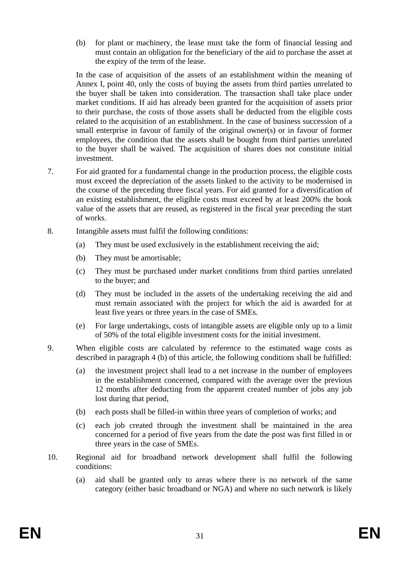(b) for plant or machinery, the lease must take the form of financial leasing and must contain an obligation for the beneficiary of the aid to purchase the asset at the expiry of the term of the lease.

In the case of acquisition of the assets of an establishment within the meaning of Annex I, point 40, only the costs of buying the assets from third parties unrelated to the buyer shall be taken into consideration. The transaction shall take place under market conditions. If aid has already been granted for the acquisition of assets prior to their purchase, the costs of those assets shall be deducted from the eligible costs related to the acquisition of an establishment. In the case of business succession of a small enterprise in favour of family of the original owner(s) or in favour of former employees, the condition that the assets shall be bought from third parties unrelated to the buyer shall be waived. The acquisition of shares does not constitute initial investment.

- 7. For aid granted for a fundamental change in the production process, the eligible costs must exceed the depreciation of the assets linked to the activity to be modernised in the course of the preceding three fiscal years. For aid granted for a diversification of an existing establishment, the eligible costs must exceed by at least 200% the book value of the assets that are reused, as registered in the fiscal year preceding the start of works.
- 8. Intangible assets must fulfil the following conditions:
	- (a) They must be used exclusively in the establishment receiving the aid;
	- (b) They must be amortisable;
	- (c) They must be purchased under market conditions from third parties unrelated to the buyer; and
	- (d) They must be included in the assets of the undertaking receiving the aid and must remain associated with the project for which the aid is awarded for at least five years or three years in the case of SMEs.
	- (e) For large undertakings, costs of intangible assets are eligible only up to a limit of 50% of the total eligible investment costs for the initial investment.
- 9. When eligible costs are calculated by reference to the estimated wage costs as described in paragraph 4 (b) of this article, the following conditions shall be fulfilled:
	- (a) the investment project shall lead to a net increase in the number of employees in the establishment concerned, compared with the average over the previous 12 months after deducting from the apparent created number of jobs any job lost during that period,
	- (b) each posts shall be filled-in within three years of completion of works; and
	- (c) each job created through the investment shall be maintained in the area concerned for a period of five years from the date the post was first filled in or three years in the case of SMEs.
- 10. Regional aid for broadband network development shall fulfil the following conditions:
	- (a) aid shall be granted only to areas where there is no network of the same category (either basic broadband or NGA) and where no such network is likely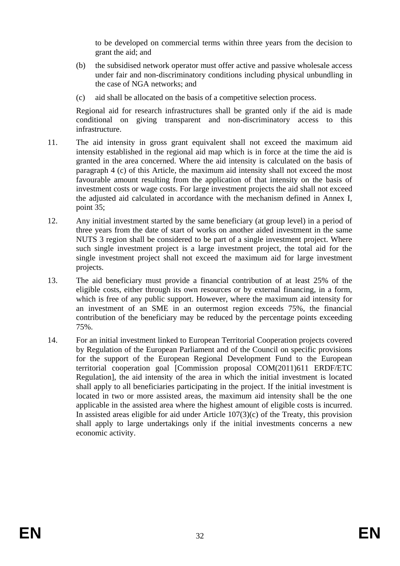to be developed on commercial terms within three years from the decision to grant the aid; and

- (b) the subsidised network operator must offer active and passive wholesale access under fair and non-discriminatory conditions including physical unbundling in the case of NGA networks; and
- (c) aid shall be allocated on the basis of a competitive selection process.

Regional aid for research infrastructures shall be granted only if the aid is made conditional on giving transparent and non-discriminatory access to this infrastructure.

- 11. The aid intensity in gross grant equivalent shall not exceed the maximum aid intensity established in the regional aid map which is in force at the time the aid is granted in the area concerned. Where the aid intensity is calculated on the basis of paragraph 4 (c) of this Article, the maximum aid intensity shall not exceed the most favourable amount resulting from the application of that intensity on the basis of investment costs or wage costs. For large investment projects the aid shall not exceed the adjusted aid calculated in accordance with the mechanism defined in Annex I, point 35;
- 12. Any initial investment started by the same beneficiary (at group level) in a period of three years from the date of start of works on another aided investment in the same NUTS 3 region shall be considered to be part of a single investment project. Where such single investment project is a large investment project, the total aid for the single investment project shall not exceed the maximum aid for large investment projects.
- 13. The aid beneficiary must provide a financial contribution of at least 25% of the eligible costs, either through its own resources or by external financing, in a form, which is free of any public support. However, where the maximum aid intensity for an investment of an SME in an outermost region exceeds 75%, the financial contribution of the beneficiary may be reduced by the percentage points exceeding 75%.
- 14. For an initial investment linked to European Territorial Cooperation projects covered by Regulation of the European Parliament and of the Council on specific provisions for the support of the European Regional Development Fund to the European territorial cooperation goal [Commission proposal COM(2011)611 ERDF/ETC Regulation], the aid intensity of the area in which the initial investment is located shall apply to all beneficiaries participating in the project. If the initial investment is located in two or more assisted areas, the maximum aid intensity shall be the one applicable in the assisted area where the highest amount of eligible costs is incurred. In assisted areas eligible for aid under Article  $107(3)(c)$  of the Treaty, this provision shall apply to large undertakings only if the initial investments concerns a new economic activity.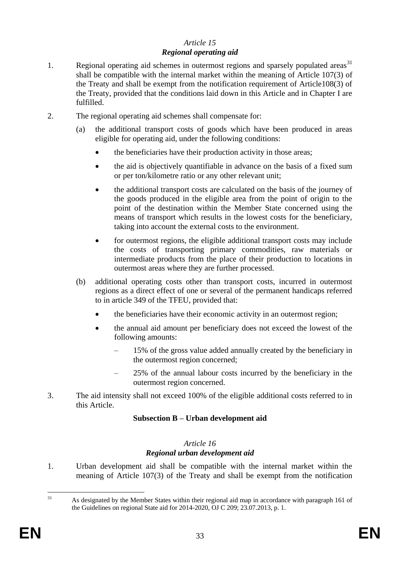# *Article 15 Regional operating aid*

- 1. Regional operating aid schemes in outermost regions and sparsely populated areas $31$ shall be compatible with the internal market within the meaning of Article 107(3) of the Treaty and shall be exempt from the notification requirement of Article108(3) of the Treaty, provided that the conditions laid down in this Article and in Chapter I are fulfilled.
- 2. The regional operating aid schemes shall compensate for:
	- (a) the additional transport costs of goods which have been produced in areas eligible for operating aid, under the following conditions:
		- the beneficiaries have their production activity in those areas;
		- the aid is objectively quantifiable in advance on the basis of a fixed sum or per ton/kilometre ratio or any other relevant unit;
		- the additional transport costs are calculated on the basis of the journey of the goods produced in the eligible area from the point of origin to the point of the destination within the Member State concerned using the means of transport which results in the lowest costs for the beneficiary, taking into account the external costs to the environment.
		- for outermost regions, the eligible additional transport costs may include the costs of transporting primary commodities, raw materials or intermediate products from the place of their production to locations in outermost areas where they are further processed.
	- (b) additional operating costs other than transport costs, incurred in outermost regions as a direct effect of one or several of the permanent handicaps referred to in article 349 of the TFEU, provided that:
		- the beneficiaries have their economic activity in an outermost region;
		- the annual aid amount per beneficiary does not exceed the lowest of the following amounts:
			- 15% of the gross value added annually created by the beneficiary in the outermost region concerned;
			- 25% of the annual labour costs incurred by the beneficiary in the outermost region concerned.
- 3. The aid intensity shall not exceed 100% of the eligible additional costs referred to in this Article.

# **Subsection B – Urban development aid**

### *Article 16 Regional urban development aid*

1. Urban development aid shall be compatible with the internal market within the meaning of Article 107(3) of the Treaty and shall be exempt from the notification

 $31$ As designated by the Member States within their regional aid map in accordance with paragraph 161 of the Guidelines on regional State aid for 2014-2020, OJ C 209; 23.07.2013, p. 1.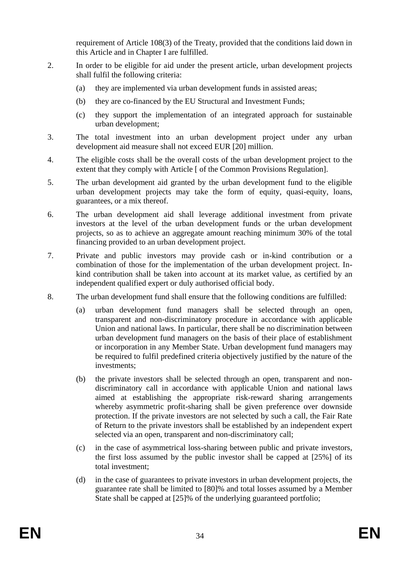requirement of Article 108(3) of the Treaty, provided that the conditions laid down in this Article and in Chapter I are fulfilled.

- 2. In order to be eligible for aid under the present article, urban development projects shall fulfil the following criteria:
	- (a) they are implemented via urban development funds in assisted areas;
	- (b) they are co-financed by the EU Structural and Investment Funds;
	- (c) they support the implementation of an integrated approach for sustainable urban development;
- 3. The total investment into an urban development project under any urban development aid measure shall not exceed EUR [20] million.
- 4. The eligible costs shall be the overall costs of the urban development project to the extent that they comply with Article [ of the Common Provisions Regulation].
- 5. The urban development aid granted by the urban development fund to the eligible urban development projects may take the form of equity, quasi-equity, loans, guarantees, or a mix thereof.
- 6. The urban development aid shall leverage additional investment from private investors at the level of the urban development funds or the urban development projects, so as to achieve an aggregate amount reaching minimum 30% of the total financing provided to an urban development project.
- 7. Private and public investors may provide cash or in-kind contribution or a combination of those for the implementation of the urban development project. Inkind contribution shall be taken into account at its market value, as certified by an independent qualified expert or duly authorised official body.
- 8. The urban development fund shall ensure that the following conditions are fulfilled:
	- (a) urban development fund managers shall be selected through an open, transparent and non-discriminatory procedure in accordance with applicable Union and national laws. In particular, there shall be no discrimination between urban development fund managers on the basis of their place of establishment or incorporation in any Member State. Urban development fund managers may be required to fulfil predefined criteria objectively justified by the nature of the investments;
	- (b) the private investors shall be selected through an open, transparent and nondiscriminatory call in accordance with applicable Union and national laws aimed at establishing the appropriate risk-reward sharing arrangements whereby asymmetric profit-sharing shall be given preference over downside protection. If the private investors are not selected by such a call, the Fair Rate of Return to the private investors shall be established by an independent expert selected via an open, transparent and non-discriminatory call;
	- (c) in the case of asymmetrical loss-sharing between public and private investors, the first loss assumed by the public investor shall be capped at [25%] of its total investment;
	- (d) in the case of guarantees to private investors in urban development projects, the guarantee rate shall be limited to [80]% and total losses assumed by a Member State shall be capped at [25]% of the underlying guaranteed portfolio;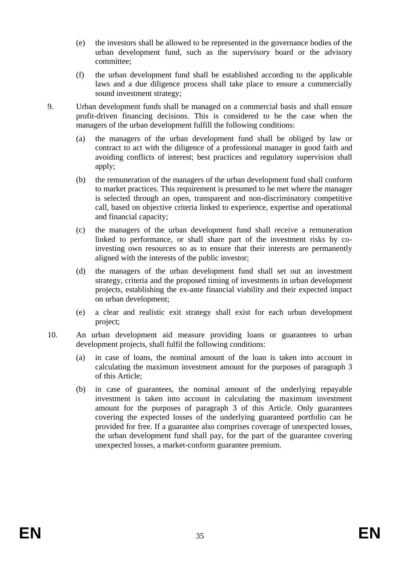- (e) the investors shall be allowed to be represented in the governance bodies of the urban development fund, such as the supervisory board or the advisory committee;
- (f) the urban development fund shall be established according to the applicable laws and a due diligence process shall take place to ensure a commercially sound investment strategy;
- 9. Urban development funds shall be managed on a commercial basis and shall ensure profit-driven financing decisions. This is considered to be the case when the managers of the urban development fulfill the following conditions:
	- (a) the managers of the urban development fund shall be obliged by law or contract to act with the diligence of a professional manager in good faith and avoiding conflicts of interest; best practices and regulatory supervision shall apply;
	- (b) the remuneration of the managers of the urban development fund shall conform to market practices. This requirement is presumed to be met where the manager is selected through an open, transparent and non-discriminatory competitive call, based on objective criteria linked to experience, expertise and operational and financial capacity;
	- (c) the managers of the urban development fund shall receive a remuneration linked to performance, or shall share part of the investment risks by coinvesting own resources so as to ensure that their interests are permanently aligned with the interests of the public investor;
	- (d) the managers of the urban development fund shall set out an investment strategy, criteria and the proposed timing of investments in urban development projects, establishing the ex-ante financial viability and their expected impact on urban development;
	- (e) a clear and realistic exit strategy shall exist for each urban development project;
- 10. An urban development aid measure providing loans or guarantees to urban development projects, shall fulfil the following conditions:
	- (a) in case of loans, the nominal amount of the loan is taken into account in calculating the maximum investment amount for the purposes of paragraph 3 of this Article;
	- (b) in case of guarantees, the nominal amount of the underlying repayable investment is taken into account in calculating the maximum investment amount for the purposes of paragraph 3 of this Article. Only guarantees covering the expected losses of the underlying guaranteed portfolio can be provided for free. If a guarantee also comprises coverage of unexpected losses, the urban development fund shall pay, for the part of the guarantee covering unexpected losses, a market-conform guarantee premium.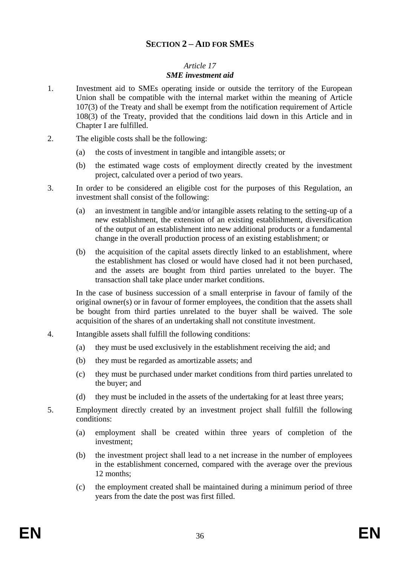# **SECTION 2 – AID FOR SMES**

### *Article 17 SME investment aid*

- <span id="page-35-0"></span>1. Investment aid to SMEs operating inside or outside the territory of the European Union shall be compatible with the internal market within the meaning of Article 107(3) of the Treaty and shall be exempt from the notification requirement of Article 108(3) of the Treaty, provided that the conditions laid down in this Article and in Chapter I are fulfilled.
- 2. The eligible costs shall be the following:
	- (a) the costs of investment in tangible and intangible assets; or
	- (b) the estimated wage costs of employment directly created by the investment project, calculated over a period of two years.

3. In order to be considered an eligible cost for the purposes of this Regulation, an investment shall consist of the following:

- (a) an investment in tangible and/or intangible assets relating to the setting-up of a new establishment, the extension of an existing establishment, diversification of the output of an establishment into new additional products or a fundamental change in the overall production process of an existing establishment; or
- (b) the acquisition of the capital assets directly linked to an establishment, where the establishment has closed or would have closed had it not been purchased, and the assets are bought from third parties unrelated to the buyer. The transaction shall take place under market conditions.

In the case of business succession of a small enterprise in favour of family of the original owner(s) or in favour of former employees, the condition that the assets shall be bought from third parties unrelated to the buyer shall be waived. The sole acquisition of the shares of an undertaking shall not constitute investment.

- 4. Intangible assets shall fulfill the following conditions:
	- (a) they must be used exclusively in the establishment receiving the aid; and
	- (b) they must be regarded as amortizable assets; and
	- (c) they must be purchased under market conditions from third parties unrelated to the buyer; and
	- (d) they must be included in the assets of the undertaking for at least three years;
- 5. Employment directly created by an investment project shall fulfill the following conditions:
	- (a) employment shall be created within three years of completion of the investment;
	- (b) the investment project shall lead to a net increase in the number of employees in the establishment concerned, compared with the average over the previous 12 months;
	- (c) the employment created shall be maintained during a minimum period of three years from the date the post was first filled.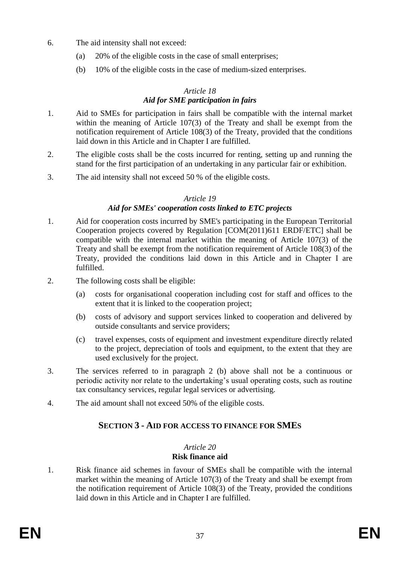- 6. The aid intensity shall not exceed:
	- (a) 20% of the eligible costs in the case of small enterprises;
	- (b) 10% of the eligible costs in the case of medium-sized enterprises.

### *Article 18 Aid for SME participation in fairs*

- 1. Aid to SMEs for participation in fairs shall be compatible with the internal market within the meaning of Article 107(3) of the Treaty and shall be exempt from the notification requirement of Article 108(3) of the Treaty, provided that the conditions laid down in this Article and in Chapter I are fulfilled.
- 2. The eligible costs shall be the costs incurred for renting, setting up and running the stand for the first participation of an undertaking in any particular fair or exhibition.
- 3. The aid intensity shall not exceed 50 % of the eligible costs.

# *Article 19*

# *Aid for SMEs' cooperation costs linked to ETC projects*

- 1. Aid for cooperation costs incurred by SME's participating in the European Territorial Cooperation projects covered by Regulation [COM(2011)611 ERDF/ETC] shall be compatible with the internal market within the meaning of Article 107(3) of the Treaty and shall be exempt from the notification requirement of Article 108(3) of the Treaty, provided the conditions laid down in this Article and in Chapter [I](#page-18-1) are fulfilled.
- 2. The following costs shall be eligible:
	- (a) costs for organisational cooperation including cost for staff and offices to the extent that it is linked to the cooperation project;
	- (b) costs of advisory and support services linked to cooperation and delivered by outside consultants and service providers;
	- (c) travel expenses, costs of equipment and investment expenditure directly related to the project, depreciation of tools and equipment, to the extent that they are used exclusively for the project.
- 3. The services referred to in paragraph 2 (b) above shall not be a continuous or periodic activity nor relate to the undertaking's usual operating costs, such as routine tax consultancy services, regular legal services or advertising.
- <span id="page-36-0"></span>4. The aid amount shall not exceed 50% of the eligible costs.

# **SECTION 3 - AID FOR ACCESS TO FINANCE FOR SMES**

# *Article 20*

# **Risk finance aid**

1. Risk finance aid schemes in favour of SMEs shall be compatible with the internal market within the meaning of Article 107(3) of the Treaty and shall be exempt from the notification requirement of Article 108(3) of the Treaty, provided the conditions laid down in this Article and in Chapter I are fulfilled.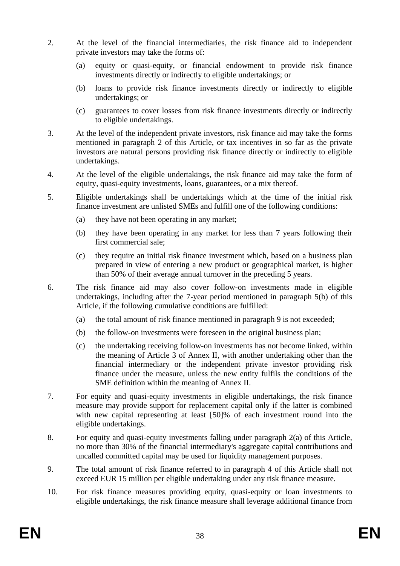- 2. At the level of the financial intermediaries, the risk finance aid to independent private investors may take the forms of:
	- (a) equity or quasi-equity, or financial endowment to provide risk finance investments directly or indirectly to eligible undertakings; or
	- (b) loans to provide risk finance investments directly or indirectly to eligible undertakings; or
	- (c) guarantees to cover losses from risk finance investments directly or indirectly to eligible undertakings.
- 3. At the level of the independent private investors, risk finance aid may take the forms mentioned in paragraph 2 of this Article, or tax incentives in so far as the private investors are natural persons providing risk finance directly or indirectly to eligible undertakings.
- 4. At the level of the eligible undertakings, the risk finance aid may take the form of equity, quasi-equity investments, loans, guarantees, or a mix thereof.
- 5. Eligible undertakings shall be undertakings which at the time of the initial risk finance investment are unlisted SMEs and fulfill one of the following conditions:
	- (a) they have not been operating in any market;
	- (b) they have been operating in any market for less than 7 years following their first commercial sale;
	- (c) they require an initial risk finance investment which, based on a business plan prepared in view of entering a new product or geographical market, is higher than 50% of their average annual turnover in the preceding 5 years.
- 6. The risk finance aid may also cover follow-on investments made in eligible undertakings, including after the 7-year period mentioned in paragraph 5(b) of this Article, if the following cumulative conditions are fulfilled:
	- (a) the total amount of risk finance mentioned in paragraph 9 is not exceeded;
	- (b) the follow-on investments were foreseen in the original business plan;
	- (c) the undertaking receiving follow-on investments has not become linked, within the meaning of Article 3 of Annex II, with another undertaking other than the financial intermediary or the independent private investor providing risk finance under the measure, unless the new entity fulfils the conditions of the SME definition within the meaning of Annex II.
- 7. For equity and quasi-equity investments in eligible undertakings, the risk finance measure may provide support for replacement capital only if the latter is combined with new capital representing at least [50]% of each investment round into the eligible undertakings.
- 8. For equity and quasi-equity investments falling under paragraph 2(a) of this Article, no more than 30% of the financial intermediary's aggregate capital contributions and uncalled committed capital may be used for liquidity management purposes.
- 9. The total amount of risk finance referred to in paragraph 4 of this Article shall not exceed EUR 15 million per eligible undertaking under any risk finance measure.
- 10. For risk finance measures providing equity, quasi-equity or loan investments to eligible undertakings, the risk finance measure shall leverage additional finance from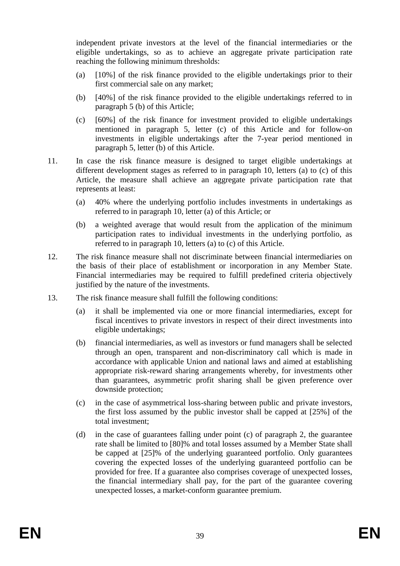independent private investors at the level of the financial intermediaries or the eligible undertakings, so as to achieve an aggregate private participation rate reaching the following minimum thresholds:

- (a) [10%] of the risk finance provided to the eligible undertakings prior to their first commercial sale on any market;
- (b) [40%] of the risk finance provided to the eligible undertakings referred to in paragraph 5 (b) of this Article;
- (c) [60%] of the risk finance for investment provided to eligible undertakings mentioned in paragraph 5, letter (c) of this Article and for follow-on investments in eligible undertakings after the 7-year period mentioned in paragraph 5, letter (b) of this Article.
- 11. In case the risk finance measure is designed to target eligible undertakings at different development stages as referred to in paragraph 10, letters (a) to (c) of this Article, the measure shall achieve an aggregate private participation rate that represents at least:
	- (a) 40% where the underlying portfolio includes investments in undertakings as referred to in paragraph 10, letter (a) of this Article; or
	- (b) a weighted average that would result from the application of the minimum participation rates to individual investments in the underlying portfolio, as referred to in paragraph 10, letters (a) to (c) of this Article.
- 12. The risk finance measure shall not discriminate between financial intermediaries on the basis of their place of establishment or incorporation in any Member State. Financial intermediaries may be required to fulfill predefined criteria objectively justified by the nature of the investments.
- 13. The risk finance measure shall fulfill the following conditions:
	- (a) it shall be implemented via one or more financial intermediaries, except for fiscal incentives to private investors in respect of their direct investments into eligible undertakings;
	- (b) financial intermediaries, as well as investors or fund managers shall be selected through an open, transparent and non-discriminatory call which is made in accordance with applicable Union and national laws and aimed at establishing appropriate risk-reward sharing arrangements whereby, for investments other than guarantees, asymmetric profit sharing shall be given preference over downside protection;
	- (c) in the case of asymmetrical loss-sharing between public and private investors, the first loss assumed by the public investor shall be capped at [25%] of the total investment;
	- (d) in the case of guarantees falling under point (c) of paragraph 2, the guarantee rate shall be limited to [80]% and total losses assumed by a Member State shall be capped at [25]% of the underlying guaranteed portfolio. Only guarantees covering the expected losses of the underlying guaranteed portfolio can be provided for free. If a guarantee also comprises coverage of unexpected losses, the financial intermediary shall pay, for the part of the guarantee covering unexpected losses, a market-conform guarantee premium.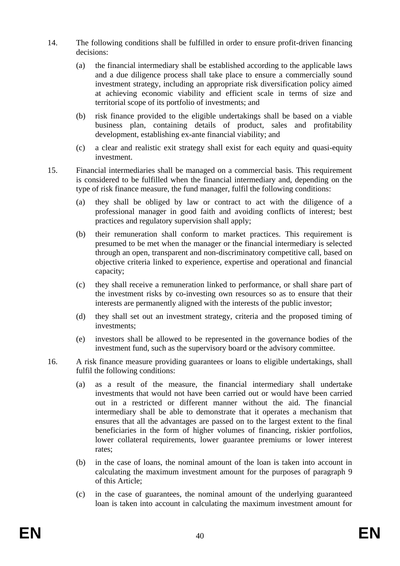- 14. The following conditions shall be fulfilled in order to ensure profit-driven financing decisions:
	- (a) the financial intermediary shall be established according to the applicable laws and a due diligence process shall take place to ensure a commercially sound investment strategy, including an appropriate risk diversification policy aimed at achieving economic viability and efficient scale in terms of size and territorial scope of its portfolio of investments; and
	- (b) risk finance provided to the eligible undertakings shall be based on a viable business plan, containing details of product, sales and profitability development, establishing ex-ante financial viability; and
	- (c) a clear and realistic exit strategy shall exist for each equity and quasi-equity investment.
- 15. Financial intermediaries shall be managed on a commercial basis. This requirement is considered to be fulfilled when the financial intermediary and, depending on the type of risk finance measure, the fund manager, fulfil the following conditions:
	- (a) they shall be obliged by law or contract to act with the diligence of a professional manager in good faith and avoiding conflicts of interest; best practices and regulatory supervision shall apply;
	- (b) their remuneration shall conform to market practices. This requirement is presumed to be met when the manager or the financial intermediary is selected through an open, transparent and non-discriminatory competitive call, based on objective criteria linked to experience, expertise and operational and financial capacity;
	- (c) they shall receive a remuneration linked to performance, or shall share part of the investment risks by co-investing own resources so as to ensure that their interests are permanently aligned with the interests of the public investor;
	- (d) they shall set out an investment strategy, criteria and the proposed timing of investments;
	- (e) investors shall be allowed to be represented in the governance bodies of the investment fund, such as the supervisory board or the advisory committee.
- 16. A risk finance measure providing guarantees or loans to eligible undertakings, shall fulfil the following conditions:
	- (a) as a result of the measure, the financial intermediary shall undertake investments that would not have been carried out or would have been carried out in a restricted or different manner without the aid. The financial intermediary shall be able to demonstrate that it operates a mechanism that ensures that all the advantages are passed on to the largest extent to the final beneficiaries in the form of higher volumes of financing, riskier portfolios, lower collateral requirements, lower guarantee premiums or lower interest rates;
	- (b) in the case of loans, the nominal amount of the loan is taken into account in calculating the maximum investment amount for the purposes of paragraph 9 of this Article;
	- (c) in the case of guarantees, the nominal amount of the underlying guaranteed loan is taken into account in calculating the maximum investment amount for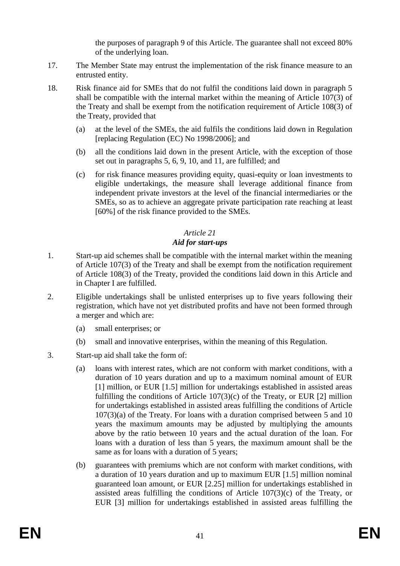the purposes of paragraph 9 of this Article. The guarantee shall not exceed 80% of the underlying loan.

- 17. The Member State may entrust the implementation of the risk finance measure to an entrusted entity.
- 18. Risk finance aid for SMEs that do not fulfil the conditions laid down in paragraph 5 shall be compatible with the internal market within the meaning of Article 107(3) of the Treaty and shall be exempt from the notification requirement of Article 108(3) of the Treaty, provided that
	- (a) at the level of the SMEs, the aid fulfils the conditions laid down in Regulation [replacing Regulation (EC) No 1998/2006]; and
	- (b) all the conditions laid down in the present Article, with the exception of those set out in paragraphs 5, 6, 9, 10, and 11, are fulfilled; and
	- (c) for risk finance measures providing equity, quasi-equity or loan investments to eligible undertakings, the measure shall leverage additional finance from independent private investors at the level of the financial intermediaries or the SMEs, so as to achieve an aggregate private participation rate reaching at least [60%] of the risk finance provided to the SMEs.

# *Article 21*

# *Aid for start-ups*

- 1. Start-up aid schemes shall be compatible with the internal market within the meaning of Article 107(3) of the Treaty and shall be exempt from the notification requirement of Article 108(3) of the Treaty, provided the conditions laid down in this Article and in Chapter I are fulfilled.
- 2. Eligible undertakings shall be unlisted enterprises up to five years following their registration, which have not yet distributed profits and have not been formed through a merger and which are:
	- (a) small enterprises; or
	- (b) small and innovative enterprises, within the meaning of this Regulation.
- 3. Start-up aid shall take the form of:
	- (a) loans with interest rates, which are not conform with market conditions, with a duration of 10 years duration and up to a maximum nominal amount of EUR [1] million, or EUR [1.5] million for undertakings established in assisted areas fulfilling the conditions of Article  $107(3)(c)$  of the Treaty, or EUR [2] million for undertakings established in assisted areas fulfilling the conditions of Article 107(3)(a) of the Treaty. For loans with a duration comprised between 5 and 10 years the maximum amounts may be adjusted by multiplying the amounts above by the ratio between 10 years and the actual duration of the loan. For loans with a duration of less than 5 years, the maximum amount shall be the same as for loans with a duration of 5 years;
	- (b) guarantees with premiums which are not conform with market conditions, with a duration of 10 years duration and up to maximum EUR [1.5] million nominal guaranteed loan amount, or EUR [2.25] million for undertakings established in assisted areas fulfilling the conditions of Article 107(3)(c) of the Treaty, or EUR [3] million for undertakings established in assisted areas fulfilling the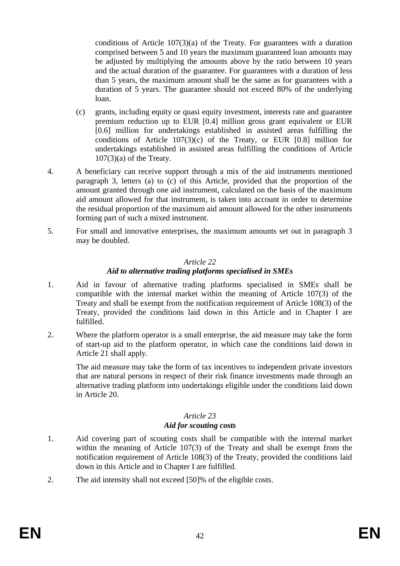conditions of Article 107(3)(a) of the Treaty. For guarantees with a duration comprised between 5 and 10 years the maximum guaranteed loan amounts may be adjusted by multiplying the amounts above by the ratio between 10 years and the actual duration of the guarantee. For guarantees with a duration of less than 5 years, the maximum amount shall be the same as for guarantees with a duration of 5 years. The guarantee should not exceed 80% of the underlying loan.

- (c) grants, including equity or quasi equity investment, interests rate and guarantee premium reduction up to EUR [0.4] million gross grant equivalent or EUR [0.6] million for undertakings established in assisted areas fulfilling the conditions of Article 107(3)(c) of the Treaty, or EUR [0.8] million for undertakings established in assisted areas fulfilling the conditions of Article 107(3)(a) of the Treaty.
- 4. A beneficiary can receive support through a mix of the aid instruments mentioned paragraph 3, letters (a) to (c) of this Article, provided that the proportion of the amount granted through one aid instrument, calculated on the basis of the maximum aid amount allowed for that instrument, is taken into account in order to determine the residual proportion of the maximum aid amount allowed for the other instruments forming part of such a mixed instrument.
- 5. For small and innovative enterprises, the maximum amounts set out in paragraph 3 may be doubled.

### *Article 22*

# *Aid to alternative trading platforms specialised in SMEs*

- 1. Aid in favour of alternative trading platforms specialised in SMEs shall be compatible with the internal market within the meaning of Article 107(3) of the Treaty and shall be exempt from the notification requirement of Article 108(3) of the Treaty, provided the conditions laid down in this Article and in Chapter I are fulfilled.
- 2. Where the platform operator is a small enterprise, the aid measure may take the form of start-up aid to the platform operator, in which case the conditions laid down in Article 21 shall apply.

The aid measure may take the form of tax incentives to independent private investors that are natural persons in respect of their risk finance investments made through an alternative trading platform into undertakings eligible under the conditions laid down in Article 20.

# *Article 23*

# *Aid for scouting costs*

- 1. Aid covering part of scouting costs shall be compatible with the internal market within the meaning of Article 107(3) of the Treaty and shall be exempt from the notification requirement of Article 108(3) of the Treaty, provided the conditions laid down in this Article and in Chapter I are fulfilled.
- 2. The aid intensity shall not exceed [50]% of the eligible costs.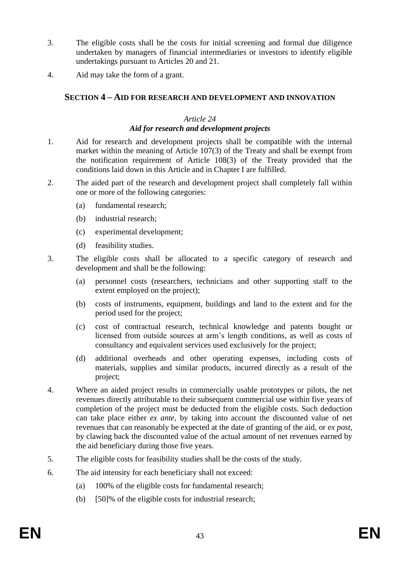- 3. The eligible costs shall be the costs for initial screening and formal due diligence undertaken by managers of financial intermediaries or investors to identify eligible undertakings pursuant to Articles 20 and 21.
- <span id="page-42-0"></span>4. Aid may take the form of a grant.

# **SECTION 4 – AID FOR RESEARCH AND DEVELOPMENT AND INNOVATION**

### *Article 24 Aid for research and development projects*

- 1. Aid for research and development projects shall be compatible with the internal market within the meaning of Article 107(3) of the Treaty and shall be exempt from the notification requirement of Article 108(3) of the Treaty provided that the conditions laid down in this Article and in Chapter I are fulfilled.
- 2. The aided part of the research and development project shall completely fall within one or more of the following categories:
	- (a) fundamental research;
	- (b) industrial research;
	- (c) experimental development;
	- (d) feasibility studies.
- 3. The eligible costs shall be allocated to a specific category of research and development and shall be the following:
	- (a) personnel costs (researchers, technicians and other supporting staff to the extent employed on the project);
	- (b) costs of instruments, equipment, buildings and land to the extent and for the period used for the project;
	- (c) cost of contractual research, technical knowledge and patents bought or licensed from outside sources at arm's length conditions, as well as costs of consultancy and equivalent services used exclusively for the project;
	- (d) additional overheads and other operating expenses, including costs of materials, supplies and similar products, incurred directly as a result of the project;
- 4. Where an aided project results in commercially usable prototypes or pilots, the net revenues directly attributable to their subsequent commercial use within five years of completion of the project must be deducted from the eligible costs. Such deduction can take place either *ex ante,* by taking into account the discounted value of net revenues that can reasonably be expected at the date of granting of the aid, or *ex post*, by clawing back the discounted value of the actual amount of net revenues earned by the aid beneficiary during those five years.
- 5. The eligible costs for feasibility studies shall be the costs of the study.
- 6. The aid intensity for each beneficiary shall not exceed:
	- (a) 100% of the eligible costs for fundamental research;
	- (b) [50]% of the eligible costs for industrial research;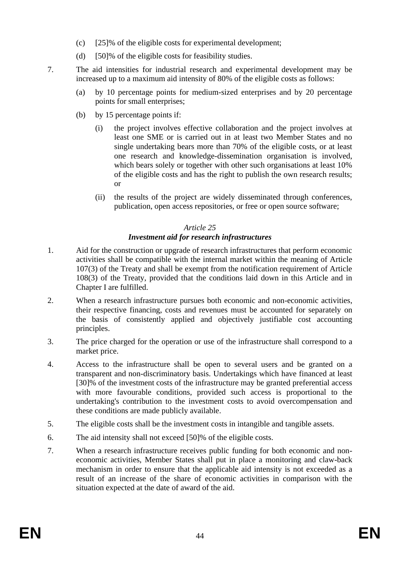- (c) [25]% of the eligible costs for experimental development;
- (d) [50]% of the eligible costs for feasibility studies.
- 7. The aid intensities for industrial research and experimental development may be increased up to a maximum aid intensity of 80% of the eligible costs as follows:
	- (a) by 10 percentage points for medium-sized enterprises and by 20 percentage points for small enterprises;
	- (b) by 15 percentage points if:
		- (i) the project involves effective collaboration and the project involves at least one SME or is carried out in at least two Member States and no single undertaking bears more than 70% of the eligible costs, or at least one research and knowledge-dissemination organisation is involved, which bears solely or together with other such organisations at least 10% of the eligible costs and has the right to publish the own research results; or
		- (ii) the results of the project are widely disseminated through conferences, publication, open access repositories, or free or open source software;

### *Article 25*

### *Investment aid for research infrastructures*

- 1. Aid for the construction or upgrade of research infrastructures that perform economic activities shall be compatible with the internal market within the meaning of Article 107(3) of the Treaty and shall be exempt from the notification requirement of Article 108(3) of the Treaty, provided that the conditions laid down in this Article and in Chapter I are fulfilled.
- 2. When a research infrastructure pursues both economic and non-economic activities, their respective financing, costs and revenues must be accounted for separately on the basis of consistently applied and objectively justifiable cost accounting principles.
- 3. The price charged for the operation or use of the infrastructure shall correspond to a market price.
- 4. Access to the infrastructure shall be open to several users and be granted on a transparent and non-discriminatory basis. Undertakings which have financed at least [30]% of the investment costs of the infrastructure may be granted preferential access with more favourable conditions, provided such access is proportional to the undertaking's contribution to the investment costs to avoid overcompensation and these conditions are made publicly available.
- 5. The eligible costs shall be the investment costs in intangible and tangible assets.
- 6. The aid intensity shall not exceed [50]% of the eligible costs.
- 7. When a research infrastructure receives public funding for both economic and noneconomic activities, Member States shall put in place a monitoring and claw-back mechanism in order to ensure that the applicable aid intensity is not exceeded as a result of an increase of the share of economic activities in comparison with the situation expected at the date of award of the aid.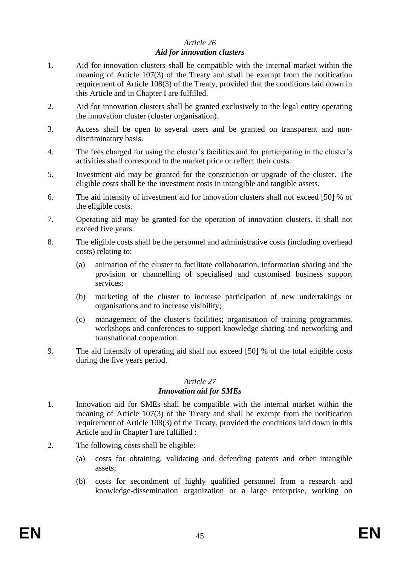### *Article 26 Aid for innovation clusters*

- 1. Aid for innovation clusters shall be compatible with the internal market within the meaning of Article 107(3) of the Treaty and shall be exempt from the notification requirement of Article 108(3) of the Treaty, provided that the conditions laid down in this Article and in Chapter I are fulfilled.
- 2. Aid for innovation clusters shall be granted exclusively to the legal entity operating the innovation cluster (cluster organisation).
- 3. Access shall be open to several users and be granted on transparent and nondiscriminatory basis.
- 4. The fees charged for using the cluster's facilities and for participating in the cluster's activities shall correspond to the market price or reflect their costs.
- 5. Investment aid may be granted for the construction or upgrade of the cluster. The eligible costs shall be the investment costs in intangible and tangible assets.
- 6. The aid intensity of investment aid for innovation clusters shall not exceed [50] % of the eligible costs.
- 7. Operating aid may be granted for the operation of innovation clusters. It shall not exceed five years.
- 8. The eligible costs shall be the personnel and administrative costs (including overhead costs) relating to:
	- (a) animation of the cluster to facilitate collaboration, information sharing and the provision or channelling of specialised and customised business support services;
	- (b) marketing of the cluster to increase participation of new undertakings or organisations and to increase visibility;
	- (c) management of the cluster's facilities; organisation of training programmes, workshops and conferences to support knowledge sharing and networking and transnational cooperation.
- 9. The aid intensity of operating aid shall not exceed [50] % of the total eligible costs during the five years period.

#### *Article 27 Innovation aid for SMEs*

- 1. Innovation aid for SMEs shall be compatible with the internal market within the meaning of Article 107(3) of the Treaty and shall be exempt from the notification requirement of Article 108(3) of the Treaty, provided the conditions laid down in this Article and in Chapter I are fulfilled :
- 2. The following costs shall be eligible:
	- (a) costs for obtaining, validating and defending patents and other intangible assets;
	- (b) costs for secondment of highly qualified personnel from a research and knowledge-dissemination organization or a large enterprise, working on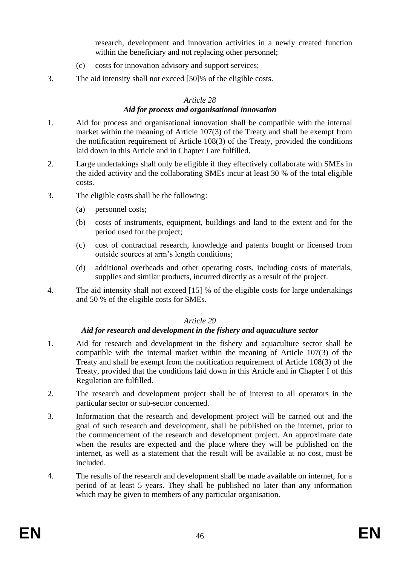research, development and innovation activities in a newly created function within the beneficiary and not replacing other personnel;

- (c) costs for innovation advisory and support services;
- 3. The aid intensity shall not exceed [50]% of the eligible costs.

### *Article 28*

### *Aid for process and organisational innovation*

- 1. Aid for process and organisational innovation shall be compatible with the internal market within the meaning of Article 107(3) of the Treaty and shall be exempt from the notification requirement of Article 108(3) of the Treaty, provided the conditions laid down in this Article and in Chapter I are fulfilled.
- 2. Large undertakings shall only be eligible if they effectively collaborate with SMEs in the aided activity and the collaborating SMEs incur at least 30 % of the total eligible costs.
- 3. The eligible costs shall be the following:
	- (a) personnel costs;
	- (b) costs of instruments, equipment, buildings and land to the extent and for the period used for the project;
	- (c) cost of contractual research, knowledge and patents bought or licensed from outside sources at arm's length conditions;
	- (d) additional overheads and other operating costs, including costs of materials, supplies and similar products, incurred directly as a result of the project.
- 4. The aid intensity shall not exceed [15] % of the eligible costs for large undertakings and 50 % of the eligible costs for SMEs.

### *Article 29*

# *Aid for research and development in the fishery and aquaculture sector*

- 1. Aid for research and development in the fishery and aquaculture sector shall be compatible with the internal market within the meaning of Article 107(3) of the Treaty and shall be exempt from the notification requirement of Article 108(3) of the Treaty, provided that the conditions laid down in this Article and in Chapter I of this Regulation are fulfilled.
- 2. The research and development project shall be of interest to all operators in the particular sector or sub-sector concerned.
- 3. Information that the research and development project will be carried out and the goal of such research and development, shall be published on the internet, prior to the commencement of the research and development project. An approximate date when the results are expected and the place where they will be published on the internet, as well as a statement that the result will be available at no cost, must be included.
- 4. The results of the research and development shall be made available on internet, for a period of at least 5 years. They shall be published no later than any information which may be given to members of any particular organisation.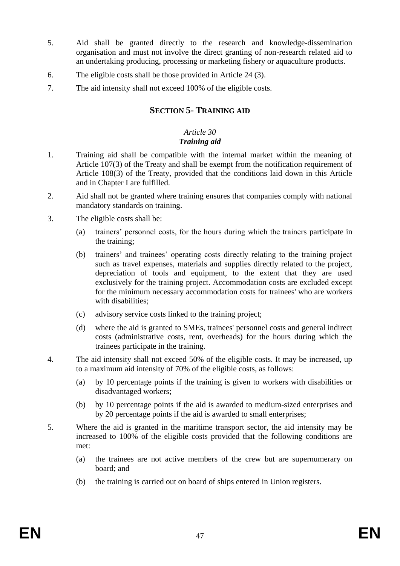- 5. Aid shall be granted directly to the research and knowledge-dissemination organisation and must not involve the direct granting of non-research related aid to an undertaking producing, processing or marketing fishery or aquaculture products.
- 6. The eligible costs shall be those provided in Article 24 (3).
- <span id="page-46-0"></span>7. The aid intensity shall not exceed 100% of the eligible costs.

# **SECTION 5- TRAINING AID**

#### *Article 30 Training aid*

- 1. Training aid shall be compatible with the internal market within the meaning of Article 107(3) of the Treaty and shall be exempt from the notification requirement of Article 108(3) of the Treaty, provided that the conditions laid down in this Article and in Chapter I are fulfilled.
- 2. Aid shall not be granted where training ensures that companies comply with national mandatory standards on training.
- 3. The eligible costs shall be:
	- (a) trainers' personnel costs, for the hours during which the trainers participate in the training;
	- (b) trainers' and trainees' operating costs directly relating to the training project such as travel expenses, materials and supplies directly related to the project, depreciation of tools and equipment, to the extent that they are used exclusively for the training project. Accommodation costs are excluded except for the minimum necessary accommodation costs for trainees' who are workers with disabilities:
	- (c) advisory service costs linked to the training project;
	- (d) where the aid is granted to SMEs, trainees' personnel costs and general indirect costs (administrative costs, rent, overheads) for the hours during which the trainees participate in the training.
- 4. The aid intensity shall not exceed 50% of the eligible costs. It may be increased, up to a maximum aid intensity of 70% of the eligible costs, as follows:
	- (a) by 10 percentage points if the training is given to workers with disabilities or disadvantaged workers;
	- (b) by 10 percentage points if the aid is awarded to medium-sized enterprises and by 20 percentage points if the aid is awarded to small enterprises;
- 5. Where the aid is granted in the maritime transport sector, the aid intensity may be increased to 100% of the eligible costs provided that the following conditions are met:
	- (a) the trainees are not active members of the crew but are supernumerary on board; and
	- (b) the training is carried out on board of ships entered in Union registers.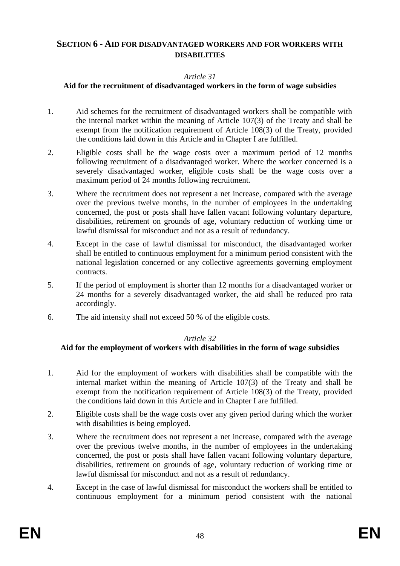# <span id="page-47-0"></span>**SECTION 6 - AID FOR DISADVANTAGED WORKERS AND FOR WORKERS WITH DISABILITIES**

### *Article 31*

### **Aid for the recruitment of disadvantaged workers in the form of wage subsidies**

- 1. Aid schemes for the recruitment of disadvantaged workers shall be compatible with the internal market within the meaning of Article 107(3) of the Treaty and shall be exempt from the notification requirement of Article 108(3) of the Treaty, provided the conditions laid down in this Article and in Chapter I are fulfilled.
- 2. Eligible costs shall be the wage costs over a maximum period of 12 months following recruitment of a disadvantaged worker. Where the worker concerned is a severely disadvantaged worker, eligible costs shall be the wage costs over a maximum period of 24 months following recruitment.
- 3. Where the recruitment does not represent a net increase, compared with the average over the previous twelve months, in the number of employees in the undertaking concerned, the post or posts shall have fallen vacant following voluntary departure, disabilities, retirement on grounds of age, voluntary reduction of working time or lawful dismissal for misconduct and not as a result of redundancy.
- 4. Except in the case of lawful dismissal for misconduct, the disadvantaged worker shall be entitled to continuous employment for a minimum period consistent with the national legislation concerned or any collective agreements governing employment contracts.
- 5. If the period of employment is shorter than 12 months for a disadvantaged worker or 24 months for a severely disadvantaged worker, the aid shall be reduced pro rata accordingly.
- 6. The aid intensity shall not exceed 50 % of the eligible costs.

### *Article 32*

# **Aid for the employment of workers with disabilities in the form of wage subsidies**

- 1. Aid for the employment of workers with disabilities shall be compatible with the internal market within the meaning of Article 107(3) of the Treaty and shall be exempt from the notification requirement of Article 108(3) of the Treaty, provided the conditions laid down in this Article and in Chapter I are fulfilled.
- 2. Eligible costs shall be the wage costs over any given period during which the worker with disabilities is being employed.
- 3. Where the recruitment does not represent a net increase, compared with the average over the previous twelve months, in the number of employees in the undertaking concerned, the post or posts shall have fallen vacant following voluntary departure, disabilities, retirement on grounds of age, voluntary reduction of working time or lawful dismissal for misconduct and not as a result of redundancy.
- 4. Except in the case of lawful dismissal for misconduct the workers shall be entitled to continuous employment for a minimum period consistent with the national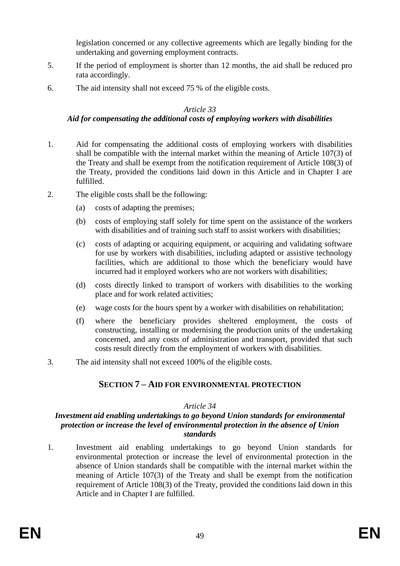legislation concerned or any collective agreements which are legally binding for the undertaking and governing employment contracts.

- 5. If the period of employment is shorter than 12 months, the aid shall be reduced pro rata accordingly.
- 6. The aid intensity shall not exceed 75 % of the eligible costs.

### *Article 33*

### *Aid for compensating the additional costs of employing workers with disabilities*

- 1. Aid for compensating the additional costs of employing workers with disabilities shall be compatible with the internal market within the meaning of Article 107(3) of the Treaty and shall be exempt from the notification requirement of Article 108(3) of the Treaty, provided the conditions laid down in this Article and in Chapter I are fulfilled.
- 2. The eligible costs shall be the following:
	- (a) costs of adapting the premises;
	- (b) costs of employing staff solely for time spent on the assistance of the workers with disabilities and of training such staff to assist workers with disabilities;
	- (c) costs of adapting or acquiring equipment, or acquiring and validating software for use by workers with disabilities, including adapted or assistive technology facilities, which are additional to those which the beneficiary would have incurred had it employed workers who are not workers with disabilities;
	- (d) costs directly linked to transport of workers with disabilities to the working place and for work related activities;
	- (e) wage costs for the hours spent by a worker with disabilities on rehabilitation;
	- (f) where the beneficiary provides sheltered employment, the costs of constructing, installing or modernising the production units of the undertaking concerned, and any costs of administration and transport, provided that such costs result directly from the employment of workers with disabilities.
- <span id="page-48-0"></span>3. The aid intensity shall not exceed 100% of the eligible costs.

# **SECTION 7 – AID FOR ENVIRONMENTAL PROTECTION**

### *Article 34*

### *Investment aid enabling undertakings to go beyond Union standards for environmental protection or increase the level of environmental protection in the absence of Union standards*

1. Investment aid enabling undertakings to go beyond Union standards for environmental protection or increase the level of environmental protection in the absence of Union standards shall be compatible with the internal market within the meaning of Article 107(3) of the Treaty and shall be exempt from the notification requirement of Article 108(3) of the Treaty, provided the conditions laid down in this Article and in Chapter I are fulfilled.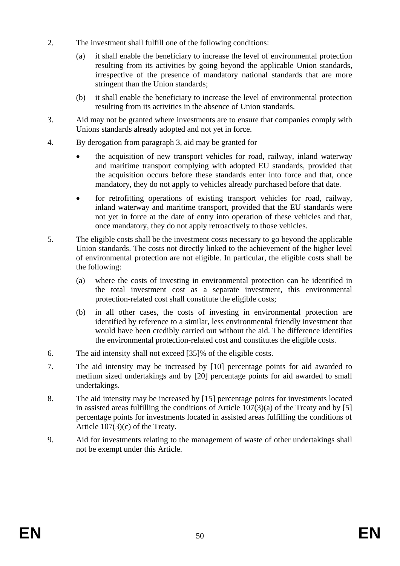- 2. The investment shall fulfill one of the following conditions:
	- (a) it shall enable the beneficiary to increase the level of environmental protection resulting from its activities by going beyond the applicable Union standards, irrespective of the presence of mandatory national standards that are more stringent than the Union standards;
	- (b) it shall enable the beneficiary to increase the level of environmental protection resulting from its activities in the absence of Union standards.
- 3. Aid may not be granted where investments are to ensure that companies comply with Unions standards already adopted and not yet in force.
- 4. By derogation from paragraph 3, aid may be granted for
	- the acquisition of new transport vehicles for road, railway, inland waterway and maritime transport complying with adopted EU standards, provided that the acquisition occurs before these standards enter into force and that, once mandatory, they do not apply to vehicles already purchased before that date.
	- for retrofitting operations of existing transport vehicles for road, railway, inland waterway and maritime transport, provided that the EU standards were not yet in force at the date of entry into operation of these vehicles and that, once mandatory, they do not apply retroactively to those vehicles.
- 5. The eligible costs shall be the investment costs necessary to go beyond the applicable Union standards. The costs not directly linked to the achievement of the higher level of environmental protection are not eligible. In particular, the eligible costs shall be the following:
	- (a) where the costs of investing in environmental protection can be identified in the total investment cost as a separate investment, this environmental protection-related cost shall constitute the eligible costs;
	- (b) in all other cases, the costs of investing in environmental protection are identified by reference to a similar, less environmental friendly investment that would have been credibly carried out without the aid. The difference identifies the environmental protection-related cost and constitutes the eligible costs.
- 6. The aid intensity shall not exceed [35]% of the eligible costs.
- 7. The aid intensity may be increased by [10] percentage points for aid awarded to medium sized undertakings and by [20] percentage points for aid awarded to small undertakings.
- 8. The aid intensity may be increased by [15] percentage points for investments located in assisted areas fulfilling the conditions of Article  $107(3)(a)$  of the Treaty and by [5] percentage points for investments located in assisted areas fulfilling the conditions of Article 107(3)(c) of the Treaty.
- 9. Aid for investments relating to the management of waste of other undertakings shall not be exempt under this Article.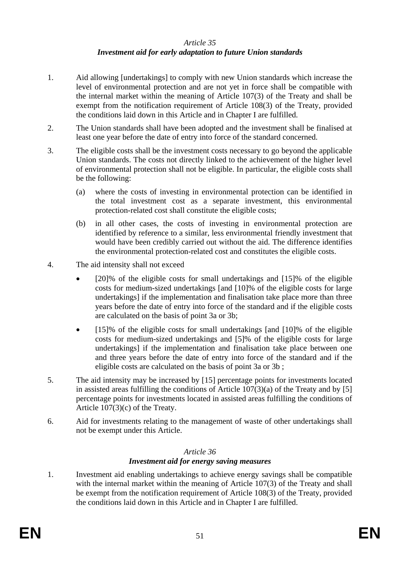### *Article 35 Investment aid for early adaptation to future Union standards*

- 1. Aid allowing [undertakings] to comply with new Union standards which increase the level of environmental protection and are not yet in force shall be compatible with the internal market within the meaning of Article 107(3) of the Treaty and shall be exempt from the notification requirement of Article 108(3) of the Treaty, provided the conditions laid down in this Article and in Chapter I are fulfilled.
- 2. The Union standards shall have been adopted and the investment shall be finalised at least one year before the date of entry into force of the standard concerned.
- 3. The eligible costs shall be the investment costs necessary to go beyond the applicable Union standards. The costs not directly linked to the achievement of the higher level of environmental protection shall not be eligible. In particular, the eligible costs shall be the following:
	- (a) where the costs of investing in environmental protection can be identified in the total investment cost as a separate investment, this environmental protection-related cost shall constitute the eligible costs;
	- (b) in all other cases, the costs of investing in environmental protection are identified by reference to a similar, less environmental friendly investment that would have been credibly carried out without the aid. The difference identifies the environmental protection-related cost and constitutes the eligible costs.
- 4. The aid intensity shall not exceed
	- [20]% of the eligible costs for small undertakings and [15]% of the eligible costs for medium-sized undertakings [and [10]% of the eligible costs for large undertakings] if the implementation and finalisation take place more than three years before the date of entry into force of the standard and if the eligible costs are calculated on the basis of point 3a or 3b;
	- [15]% of the eligible costs for small undertakings [and [10]% of the eligible costs for medium-sized undertakings and [5]% of the eligible costs for large undertakings] if the implementation and finalisation take place between one and three years before the date of entry into force of the standard and if the eligible costs are calculated on the basis of point 3a or 3b ;
- 5. The aid intensity may be increased by [15] percentage points for investments located in assisted areas fulfilling the conditions of Article  $107(3)(a)$  of the Treaty and by [5] percentage points for investments located in assisted areas fulfilling the conditions of Article 107(3)(c) of the Treaty.
- 6. Aid for investments relating to the management of waste of other undertakings shall not be exempt under this Article.

# *Article 36*

# *Investment aid for energy saving measures*

1. Investment aid enabling undertakings to achieve energy savings shall be compatible with the internal market within the meaning of Article 107(3) of the Treaty and shall be exempt from the notification requirement of Article 108(3) of the Treaty, provided the conditions laid down in this Article and in Chapter I are fulfilled.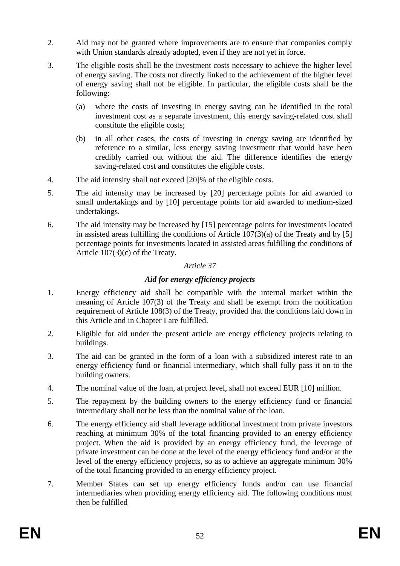- 2. Aid may not be granted where improvements are to ensure that companies comply with Union standards already adopted, even if they are not yet in force.
- 3. The eligible costs shall be the investment costs necessary to achieve the higher level of energy saving. The costs not directly linked to the achievement of the higher level of energy saving shall not be eligible. In particular, the eligible costs shall be the following:
	- (a) where the costs of investing in energy saving can be identified in the total investment cost as a separate investment, this energy saving-related cost shall constitute the eligible costs;
	- (b) in all other cases, the costs of investing in energy saving are identified by reference to a similar, less energy saving investment that would have been credibly carried out without the aid. The difference identifies the energy saving-related cost and constitutes the eligible costs.
- 4. The aid intensity shall not exceed [20]% of the eligible costs.
- 5. The aid intensity may be increased by [20] percentage points for aid awarded to small undertakings and by [10] percentage points for aid awarded to medium-sized undertakings.
- 6. The aid intensity may be increased by [15] percentage points for investments located in assisted areas fulfilling the conditions of Article  $107(3)(a)$  of the Treaty and by [5] percentage points for investments located in assisted areas fulfilling the conditions of Article 107(3)(c) of the Treaty.

# *Article 37*

# *Aid for energy efficiency projects*

- 1. Energy efficiency aid shall be compatible with the internal market within the meaning of Article 107(3) of the Treaty and shall be exempt from the notification requirement of Article 108(3) of the Treaty, provided that the conditions laid down in this Article and in Chapter I are fulfilled.
- 2. Eligible for aid under the present article are energy efficiency projects relating to buildings.
- 3. The aid can be granted in the form of a loan with a subsidized interest rate to an energy efficiency fund or financial intermediary, which shall fully pass it on to the building owners.
- 4. The nominal value of the loan, at project level, shall not exceed EUR [10] million.
- 5. The repayment by the building owners to the energy efficiency fund or financial intermediary shall not be less than the nominal value of the loan.
- 6. The energy efficiency aid shall leverage additional investment from private investors reaching at minimum 30% of the total financing provided to an energy efficiency project. When the aid is provided by an energy efficiency fund, the leverage of private investment can be done at the level of the energy efficiency fund and/or at the level of the energy efficiency projects, so as to achieve an aggregate minimum 30% of the total financing provided to an energy efficiency project.
- 7. Member States can set up energy efficiency funds and/or can use financial intermediaries when providing energy efficiency aid. The following conditions must then be fulfilled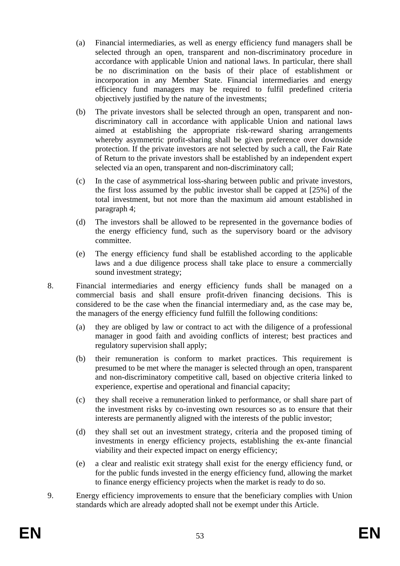- (a) Financial intermediaries, as well as energy efficiency fund managers shall be selected through an open, transparent and non-discriminatory procedure in accordance with applicable Union and national laws. In particular, there shall be no discrimination on the basis of their place of establishment or incorporation in any Member State. Financial intermediaries and energy efficiency fund managers may be required to fulfil predefined criteria objectively justified by the nature of the investments;
- (b) The private investors shall be selected through an open, transparent and nondiscriminatory call in accordance with applicable Union and national laws aimed at establishing the appropriate risk-reward sharing arrangements whereby asymmetric profit-sharing shall be given preference over downside protection. If the private investors are not selected by such a call, the Fair Rate of Return to the private investors shall be established by an independent expert selected via an open, transparent and non-discriminatory call;
- (c) In the case of asymmetrical loss-sharing between public and private investors, the first loss assumed by the public investor shall be capped at [25%] of the total investment, but not more than the maximum aid amount established in paragraph 4;
- (d) The investors shall be allowed to be represented in the governance bodies of the energy efficiency fund, such as the supervisory board or the advisory committee.
- (e) The energy efficiency fund shall be established according to the applicable laws and a due diligence process shall take place to ensure a commercially sound investment strategy;
- 8. Financial intermediaries and energy efficiency funds shall be managed on a commercial basis and shall ensure profit-driven financing decisions. This is considered to be the case when the financial intermediary and, as the case may be, the managers of the energy efficiency fund fulfill the following conditions:
	- (a) they are obliged by law or contract to act with the diligence of a professional manager in good faith and avoiding conflicts of interest; best practices and regulatory supervision shall apply;
	- (b) their remuneration is conform to market practices. This requirement is presumed to be met where the manager is selected through an open, transparent and non-discriminatory competitive call, based on objective criteria linked to experience, expertise and operational and financial capacity;
	- (c) they shall receive a remuneration linked to performance, or shall share part of the investment risks by co-investing own resources so as to ensure that their interests are permanently aligned with the interests of the public investor;
	- (d) they shall set out an investment strategy, criteria and the proposed timing of investments in energy efficiency projects, establishing the ex-ante financial viability and their expected impact on energy efficiency;
	- (e) a clear and realistic exit strategy shall exist for the energy efficiency fund, or for the public funds invested in the energy efficiency fund, allowing the market to finance energy efficiency projects when the market is ready to do so.
- 9. Energy efficiency improvements to ensure that the beneficiary complies with Union standards which are already adopted shall not be exempt under this Article.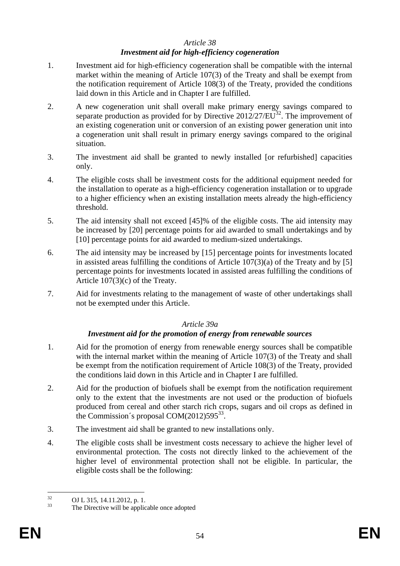## *Article 38*

# *Investment aid for high-efficiency cogeneration*

- 1. Investment aid for high-efficiency cogeneration shall be compatible with the internal market within the meaning of Article 107(3) of the Treaty and shall be exempt from the notification requirement of Article 108(3) of the Treaty, provided the conditions laid down in this Article and in Chapter I are fulfilled.
- 2. A new cogeneration unit shall overall make primary energy savings compared to separate production as provided for by Directive  $2012/27/E\overline{U}^{32}$ . The improvement of an existing cogeneration unit or conversion of an existing power generation unit into a cogeneration unit shall result in primary energy savings compared to the original situation.
- 3. The investment aid shall be granted to newly installed [or refurbished] capacities only.
- 4. The eligible costs shall be investment costs for the additional equipment needed for the installation to operate as a high-efficiency cogeneration installation or to upgrade to a higher efficiency when an existing installation meets already the high-efficiency threshold.
- 5. The aid intensity shall not exceed [45]% of the eligible costs. The aid intensity may be increased by [20] percentage points for aid awarded to small undertakings and by [10] percentage points for aid awarded to medium-sized undertakings.
- 6. The aid intensity may be increased by [15] percentage points for investments located in assisted areas fulfilling the conditions of Article  $107(3)(a)$  of the Treaty and by [5] percentage points for investments located in assisted areas fulfilling the conditions of Article 107(3)(c) of the Treaty.
- 7. Aid for investments relating to the management of waste of other undertakings shall not be exempted under this Article.

### *Article 39a*

# *Investment aid for the promotion of energy from renewable sources*

- 1. Aid for the promotion of energy from renewable energy sources shall be compatible with the internal market within the meaning of Article 107(3) of the Treaty and shall be exempt from the notification requirement of Article 108(3) of the Treaty, provided the conditions laid down in this Article and in Chapter I are fulfilled.
- 2. Aid for the production of biofuels shall be exempt from the notification requirement only to the extent that the investments are not used or the production of biofuels produced from cereal and other starch rich crops, sugars and oil crops as defined in the Commission's proposal  $COM(2012)595^{33}$ .
- 3. The investment aid shall be granted to new installations only.
- 4. The eligible costs shall be investment costs necessary to achieve the higher level of environmental protection. The costs not directly linked to the achievement of the higher level of environmental protection shall not be eligible. In particular, the eligible costs shall be the following:

 $32$  $^{32}$  OJ L 315, 14.11.2012, p. 1.<br> $^{33}$  The Directive will be earlier

The Directive will be applicable once adopted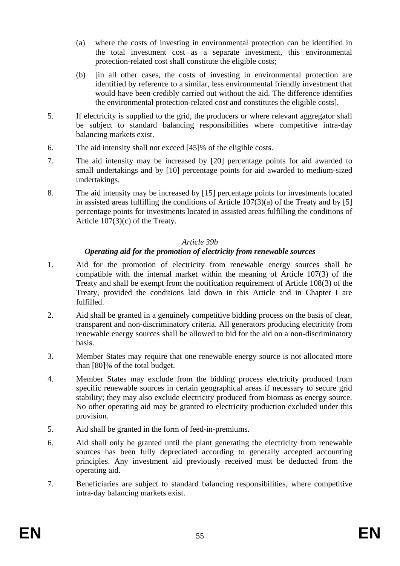- (a) where the costs of investing in environmental protection can be identified in the total investment cost as a separate investment, this environmental protection-related cost shall constitute the eligible costs;
- (b) [in all other cases, the costs of investing in environmental protection are identified by reference to a similar, less environmental friendly investment that would have been credibly carried out without the aid. The difference identifies the environmental protection-related cost and constitutes the eligible costs].
- 5. If electricity is supplied to the grid, the producers or where relevant aggregator shall be subject to standard balancing responsibilities where competitive intra-day balancing markets exist.
- 6. The aid intensity shall not exceed [45]% of the eligible costs.
- 7. The aid intensity may be increased by [20] percentage points for aid awarded to small undertakings and by [10] percentage points for aid awarded to medium-sized undertakings.
- 8. The aid intensity may be increased by [15] percentage points for investments located in assisted areas fulfilling the conditions of Article  $107(3)(a)$  of the Treaty and by [5] percentage points for investments located in assisted areas fulfilling the conditions of Article 107(3)(c) of the Treaty.

### *Article 39b*

# *Operating aid for the promotion of electricity from renewable sources*

- 1. Aid for the promotion of electricity from renewable energy sources shall be compatible with the internal market within the meaning of Article 107(3) of the Treaty and shall be exempt from the notification requirement of Article 108(3) of the Treaty, provided the conditions laid down in this Article and in Chapter I are fulfilled.
- 2. Aid shall be granted in a genuinely competitive bidding process on the basis of clear, transparent and non-discriminatory criteria. All generators producing electricity from renewable energy sources shall be allowed to bid for the aid on a non-discriminatory basis.
- 3. Member States may require that one renewable energy source is not allocated more than [80]% of the total budget.
- 4. Member States may exclude from the bidding process electricity produced from specific renewable sources in certain geographical areas if necessary to secure grid stability; they may also exclude electricity produced from biomass as energy source. No other operating aid may be granted to electricity production excluded under this provision.
- 5. Aid shall be granted in the form of feed-in-premiums.
- 6. Aid shall only be granted until the plant generating the electricity from renewable sources has been fully depreciated according to generally accepted accounting principles. Any investment aid previously received must be deducted from the operating aid.
- 7. Beneficiaries are subject to standard balancing responsibilities, where competitive intra-day balancing markets exist.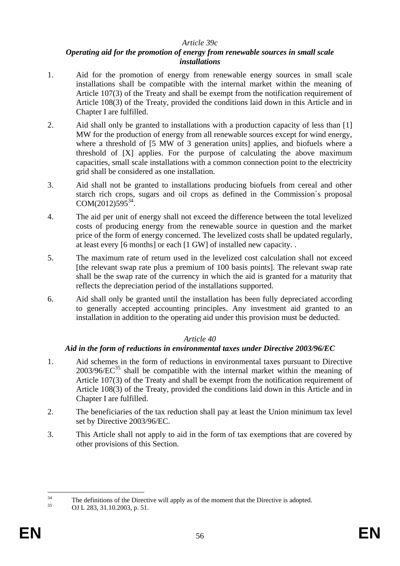### *Article 39c*

### *Operating aid for the promotion of energy from renewable sources in small scale installations*

- 1. Aid for the promotion of energy from renewable energy sources in small scale installations shall be compatible with the internal market within the meaning of Article 107(3) of the Treaty and shall be exempt from the notification requirement of Article 108(3) of the Treaty, provided the conditions laid down in this Article and in Chapter I are fulfilled.
- 2. Aid shall only be granted to installations with a production capacity of less than [1] MW for the production of energy from all renewable sources except for wind energy, where a threshold of [5 MW of 3 generation units] applies, and biofuels where a threshold of [X] applies. For the purpose of calculating the above maximum capacities, small scale installations with a common connection point to the electricity grid shall be considered as one installation.
- 3. Aid shall not be granted to installations producing biofuels from cereal and other starch rich crops, sugars and oil crops as defined in the Commission´s proposal  $COM(2012)595^{34}$ .
- 4. The aid per unit of energy shall not exceed the difference between the total levelized costs of producing energy from the renewable source in question and the market price of the form of energy concerned. The levelized costs shall be updated regularly, at least every [6 months] or each [1 GW] of installed new capacity. .
- 5. The maximum rate of return used in the levelized cost calculation shall not exceed [the relevant swap rate plus a premium of 100 basis points]. The relevant swap rate shall be the swap rate of the currency in which the aid is granted for a maturity that reflects the depreciation period of the installations supported.
- 6. Aid shall only be granted until the installation has been fully depreciated according to generally accepted accounting principles. Any investment aid granted to an installation in addition to the operating aid under this provision must be deducted.

# *Article 40*

# *Aid in the form of reductions in environmental taxes under Directive 2003/96/EC*

- 1. Aid schemes in the form of reductions in environmental taxes pursuant to Directive  $2003/96/EC^{35}$  shall be compatible with the internal market within the meaning of Article 107(3) of the Treaty and shall be exempt from the notification requirement of Article 108(3) of the Treaty, provided the conditions laid down in this Article and in Chapter I are fulfilled.
- 2. The beneficiaries of the tax reduction shall pay at least the Union minimum tax level set by Directive 2003/96/EC.
- 3. This Article shall not apply to aid in the form of tax exemptions that are covered by other provisions of this Section.

 $34$ <sup>34</sup> The definitions of the Directive will apply as of the moment that the Directive is adopted.<br><sup>35</sup> OLL 282, 21, 10, 2002,  $\pi$ , 51

OJ L 283, 31.10.2003, p. 51.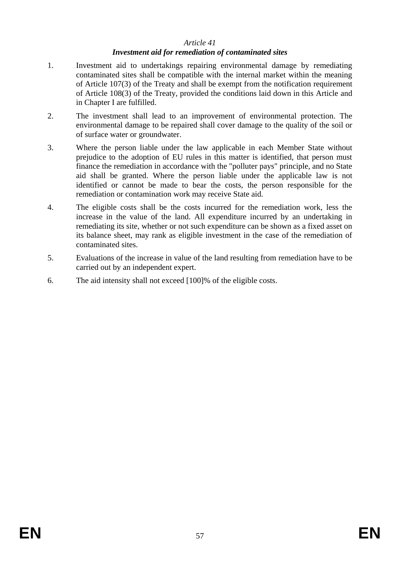### *Article 41*

### *Investment aid for remediation of contaminated sites*

- 1. Investment aid to undertakings repairing environmental damage by remediating contaminated sites shall be compatible with the internal market within the meaning of Article 107(3) of the Treaty and shall be exempt from the notification requirement of Article 108(3) of the Treaty, provided the conditions laid down in this Article and in Chapter I are fulfilled.
- 2. The investment shall lead to an improvement of environmental protection. The environmental damage to be repaired shall cover damage to the quality of the soil or of surface water or groundwater.
- 3. Where the person liable under the law applicable in each Member State without prejudice to the adoption of EU rules in this matter is identified, that person must finance the remediation in accordance with the "polluter pays" principle, and no State aid shall be granted. Where the person liable under the applicable law is not identified or cannot be made to bear the costs, the person responsible for the remediation or contamination work may receive State aid.
- 4. The eligible costs shall be the costs incurred for the remediation work, less the increase in the value of the land. All expenditure incurred by an undertaking in remediating its site, whether or not such expenditure can be shown as a fixed asset on its balance sheet, may rank as eligible investment in the case of the remediation of contaminated sites.
- 5. Evaluations of the increase in value of the land resulting from remediation have to be carried out by an independent expert.
- 6. The aid intensity shall not exceed [100]% of the eligible costs.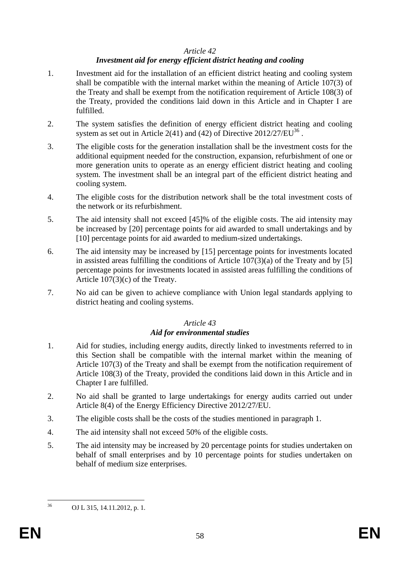### *Article 42*

# *Investment aid for energy efficient district heating and cooling*

- 1. Investment aid for the installation of an efficient district heating and cooling system shall be compatible with the internal market within the meaning of Article 107(3) of the Treaty and shall be exempt from the notification requirement of Article 108(3) of the Treaty, provided the conditions laid down in this Article and in Chapter I are fulfilled.
- 2. The system satisfies the definition of energy efficient district heating and cooling system as set out in Article 2(41) and (42) of Directive  $2012/27/EU^{36}$ .
- 3. The eligible costs for the generation installation shall be the investment costs for the additional equipment needed for the construction, expansion, refurbishment of one or more generation units to operate as an energy efficient district heating and cooling system. The investment shall be an integral part of the efficient district heating and cooling system.
- 4. The eligible costs for the distribution network shall be the total investment costs of the network or its refurbishment.
- 5. The aid intensity shall not exceed [45]% of the eligible costs. The aid intensity may be increased by [20] percentage points for aid awarded to small undertakings and by [10] percentage points for aid awarded to medium-sized undertakings.
- 6. The aid intensity may be increased by [15] percentage points for investments located in assisted areas fulfilling the conditions of Article  $107(3)(a)$  of the Treaty and by [5] percentage points for investments located in assisted areas fulfilling the conditions of Article 107(3)(c) of the Treaty.
- 7. No aid can be given to achieve compliance with Union legal standards applying to district heating and cooling systems.

# *Article 43*

# *Aid for environmental studies*

- 1. Aid for studies, including energy audits, directly linked to investments referred to in this Section shall be compatible with the internal market within the meaning of Article 107(3) of the Treaty and shall be exempt from the notification requirement of Article 108(3) of the Treaty, provided the conditions laid down in this Article and in Chapter I are fulfilled.
- 2. No aid shall be granted to large undertakings for energy audits carried out under Article 8(4) of the Energy Efficiency Directive 2012/27/EU.
- 3. The eligible costs shall be the costs of the studies mentioned in paragraph 1.
- 4. The aid intensity shall not exceed 50% of the eligible costs.
- 5. The aid intensity may be increased by 20 percentage points for studies undertaken on behalf of small enterprises and by 10 percentage points for studies undertaken on behalf of medium size enterprises.

<sup>36</sup> <sup>36</sup> OJ L 315, 14.11.2012, p. 1.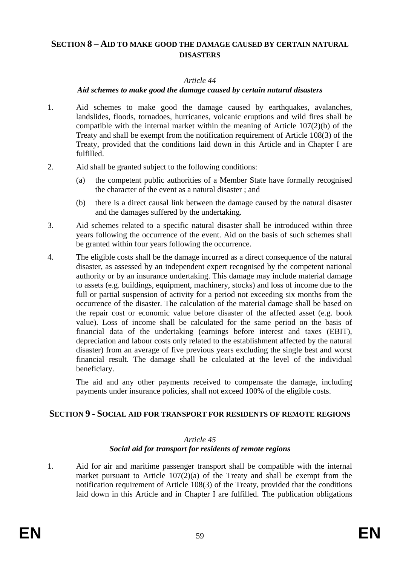# <span id="page-58-0"></span>**SECTION 8 – AID TO MAKE GOOD THE DAMAGE CAUSED BY CERTAIN NATURAL DISASTERS**

### *Article 44*

### *Aid schemes to make good the damage caused by certain natural disasters*

- 1. Aid schemes to make good the damage caused by earthquakes, avalanches, landslides, floods, tornadoes, hurricanes, volcanic eruptions and wild fires shall be compatible with the internal market within the meaning of Article 107(2)(b) of the Treaty and shall be exempt from the notification requirement of Article 108(3) of the Treaty, provided that the conditions laid down in this Article and in Chapter I are fulfilled.
- 2. Aid shall be granted subject to the following conditions:
	- (a) the competent public authorities of a Member State have formally recognised the character of the event as a natural disaster ; and
	- (b) there is a direct causal link between the damage caused by the natural disaster and the damages suffered by the undertaking.
- 3. Aid schemes related to a specific natural disaster shall be introduced within three years following the occurrence of the event. Aid on the basis of such schemes shall be granted within four years following the occurrence.
- 4. The eligible costs shall be the damage incurred as a direct consequence of the natural disaster, as assessed by an independent expert recognised by the competent national authority or by an insurance undertaking. This damage may include material damage to assets (e.g. buildings, equipment, machinery, stocks) and loss of income due to the full or partial suspension of activity for a period not exceeding six months from the occurrence of the disaster. The calculation of the material damage shall be based on the repair cost or economic value before disaster of the affected asset (e.g. book value). Loss of income shall be calculated for the same period on the basis of financial data of the undertaking (earnings before interest and taxes (EBIT), depreciation and labour costs only related to the establishment affected by the natural disaster) from an average of five previous years excluding the single best and worst financial result. The damage shall be calculated at the level of the individual beneficiary.

The aid and any other payments received to compensate the damage, including payments under insurance policies, shall not exceed 100% of the eligible costs.

# <span id="page-58-1"></span>**SECTION 9 - SOCIAL AID FOR TRANSPORT FOR RESIDENTS OF REMOTE REGIONS**

### *Article 45 Social aid for transport for residents of remote regions*

1. Aid for air and maritime passenger transport shall be compatible with the internal market pursuant to Article  $107(2)(a)$  of the Treaty and shall be exempt from the notification requirement of Article 108(3) of the Treaty, provided that the conditions laid down in this Article and in Chapter I are fulfilled. The publication obligations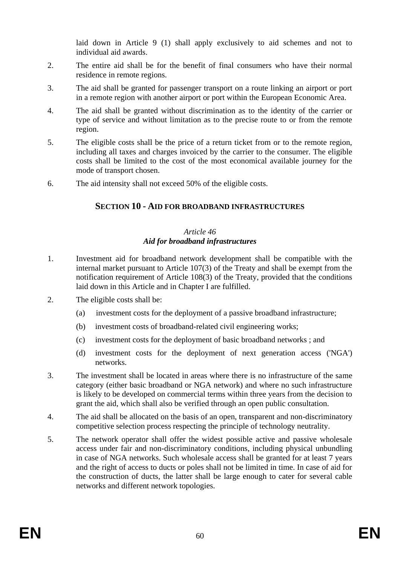laid down in Article 9 (1) shall apply exclusively to aid schemes and not to individual aid awards.

- 2. The entire aid shall be for the benefit of final consumers who have their normal residence in remote regions.
- 3. The aid shall be granted for passenger transport on a route linking an airport or port in a remote region with another airport or port within the European Economic Area.
- 4. The aid shall be granted without discrimination as to the identity of the carrier or type of service and without limitation as to the precise route to or from the remote region.
- 5. The eligible costs shall be the price of a return ticket from or to the remote region, including all taxes and charges invoiced by the carrier to the consumer. The eligible costs shall be limited to the cost of the most economical available journey for the mode of transport chosen.
- <span id="page-59-0"></span>6. The aid intensity shall not exceed 50% of the eligible costs.

# **SECTION 10 - AID FOR BROADBAND INFRASTRUCTURES**

### *Article 46 Aid for broadband infrastructures*

- 1. Investment aid for broadband network development shall be compatible with the internal market pursuant to Article 107(3) of the Treaty and shall be exempt from the notification requirement of Article 108(3) of the Treaty, provided that the conditions laid down in this Article and in Chapter I are fulfilled.
- 2. The eligible costs shall be:
	- (a) investment costs for the deployment of a passive broadband infrastructure;
	- (b) investment costs of broadband-related civil engineering works;
	- (c) investment costs for the deployment of basic broadband networks ; and
	- (d) investment costs for the deployment of next generation access ('NGA') networks.
- 3. The investment shall be located in areas where there is no infrastructure of the same category (either basic broadband or NGA network) and where no such infrastructure is likely to be developed on commercial terms within three years from the decision to grant the aid, which shall also be verified through an open public consultation.
- 4. The aid shall be allocated on the basis of an open, transparent and non-discriminatory competitive selection process respecting the principle of technology neutrality.
- 5. The network operator shall offer the widest possible active and passive wholesale access under fair and non-discriminatory conditions, including physical unbundling in case of NGA networks. Such wholesale access shall be granted for at least 7 years and the right of access to ducts or poles shall not be limited in time. In case of aid for the construction of ducts, the latter shall be large enough to cater for several cable networks and different network topologies.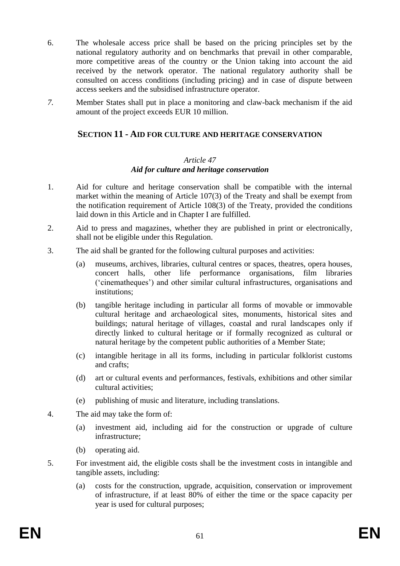- 6. The wholesale access price shall be based on the pricing principles set by the national regulatory authority and on benchmarks that prevail in other comparable, more competitive areas of the country or the Union taking into account the aid received by the network operator. The national regulatory authority shall be consulted on access conditions (including pricing) and in case of dispute between access seekers and the subsidised infrastructure operator.
- <span id="page-60-0"></span>*7.* Member States shall put in place a monitoring and claw-back mechanism if the aid amount of the project exceeds EUR 10 million.

## **SECTION 11 - AID FOR CULTURE AND HERITAGE CONSERVATION**

#### *Article 47*

### *Aid for culture and heritage conservation*

- 1. Aid for culture and heritage conservation shall be compatible with the internal market within the meaning of Article 107(3) of the Treaty and shall be exempt from the notification requirement of Article 108(3) of the Treaty, provided the conditions laid down in this Article and in Chapter I are fulfilled.
- 2. Aid to press and magazines, whether they are published in print or electronically, shall not be eligible under this Regulation.
- 3. The aid shall be granted for the following cultural purposes and activities:
	- (a) museums, archives, libraries, cultural centres or spaces, theatres, opera houses, concert halls, other life performance organisations, film libraries ('cinematheques') and other similar cultural infrastructures, organisations and institutions;
	- (b) tangible heritage including in particular all forms of movable or immovable cultural heritage and archaeological sites, monuments, historical sites and buildings; natural heritage of villages, coastal and rural landscapes only if directly linked to cultural heritage or if formally recognized as cultural or natural heritage by the competent public authorities of a Member State;
	- (c) intangible heritage in all its forms, including in particular folklorist customs and crafts;
	- (d) art or cultural events and performances, festivals, exhibitions and other similar cultural activities;
	- (e) publishing of music and literature, including translations.
- 4. The aid may take the form of:
	- (a) investment aid, including aid for the construction or upgrade of culture infrastructure;
	- (b) operating aid.
- 5. For investment aid, the eligible costs shall be the investment costs in intangible and tangible assets, including:
	- (a) costs for the construction, upgrade, acquisition, conservation or improvement of infrastructure, if at least 80% of either the time or the space capacity per year is used for cultural purposes;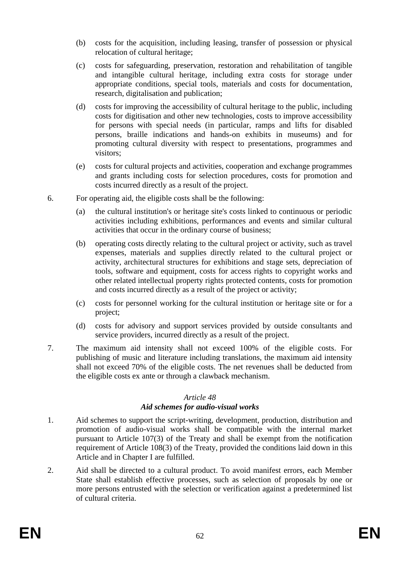- (b) costs for the acquisition, including leasing, transfer of possession or physical relocation of cultural heritage;
- (c) costs for safeguarding, preservation, restoration and rehabilitation of tangible and intangible cultural heritage, including extra costs for storage under appropriate conditions, special tools, materials and costs for documentation, research, digitalisation and publication;
- (d) costs for improving the accessibility of cultural heritage to the public, including costs for digitisation and other new technologies, costs to improve accessibility for persons with special needs (in particular, ramps and lifts for disabled persons, braille indications and hands-on exhibits in museums) and for promoting cultural diversity with respect to presentations, programmes and visitors;
- (e) costs for cultural projects and activities, cooperation and exchange programmes and grants including costs for selection procedures, costs for promotion and costs incurred directly as a result of the project.
- 6. For operating aid, the eligible costs shall be the following:
	- (a) the cultural institution's or heritage site's costs linked to continuous or periodic activities including exhibitions, performances and events and similar cultural activities that occur in the ordinary course of business;
	- (b) operating costs directly relating to the cultural project or activity, such as travel expenses, materials and supplies directly related to the cultural project or activity, architectural structures for exhibitions and stage sets, depreciation of tools, software and equipment, costs for access rights to copyright works and other related intellectual property rights protected contents, costs for promotion and costs incurred directly as a result of the project or activity;
	- (c) costs for personnel working for the cultural institution or heritage site or for a project;
	- (d) costs for advisory and support services provided by outside consultants and service providers, incurred directly as a result of the project.
- 7. The maximum aid intensity shall not exceed 100% of the eligible costs. For publishing of music and literature including translations, the maximum aid intensity shall not exceed 70% of the eligible costs. The net revenues shall be deducted from the eligible costs ex ante or through a clawback mechanism.

### *Article 48*

# *Aid schemes for audio-visual works*

- 1. Aid schemes to support the script-writing, development, production, distribution and promotion of audio-visual works shall be compatible with the internal market pursuant to Article 107(3) of the Treaty and shall be exempt from the notification requirement of Article 108(3) of the Treaty, provided the conditions laid down in this Article and in Chapter I are fulfilled.
- 2. Aid shall be directed to a cultural product. To avoid manifest errors, each Member State shall establish effective processes, such as selection of proposals by one or more persons entrusted with the selection or verification against a predetermined list of cultural criteria.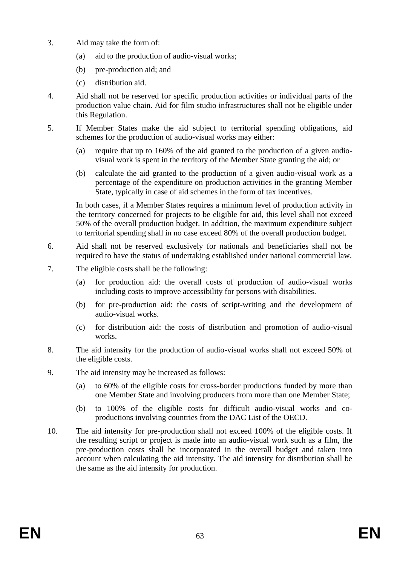- 3. Aid may take the form of:
	- (a) aid to the production of audio-visual works;
	- (b) pre-production aid; and
	- (c) distribution aid.
- 4. Aid shall not be reserved for specific production activities or individual parts of the production value chain. Aid for film studio infrastructures shall not be eligible under this Regulation.
- 5. If Member States make the aid subject to territorial spending obligations, aid schemes for the production of audio-visual works may either:
	- (a) require that up to 160% of the aid granted to the production of a given audiovisual work is spent in the territory of the Member State granting the aid; or
	- (b) calculate the aid granted to the production of a given audio-visual work as a percentage of the expenditure on production activities in the granting Member State, typically in case of aid schemes in the form of tax incentives.

In both cases, if a Member States requires a minimum level of production activity in the territory concerned for projects to be eligible for aid, this level shall not exceed 50% of the overall production budget. In addition, the maximum expenditure subject to territorial spending shall in no case exceed 80% of the overall production budget.

- 6. Aid shall not be reserved exclusively for nationals and beneficiaries shall not be required to have the status of undertaking established under national commercial law.
- 7. The eligible costs shall be the following:
	- (a) for production aid: the overall costs of production of audio-visual works including costs to improve accessibility for persons with disabilities.
	- (b) for pre-production aid: the costs of script-writing and the development of audio-visual works.
	- (c) for distribution aid: the costs of distribution and promotion of audio-visual works.
- 8. The aid intensity for the production of audio-visual works shall not exceed 50% of the eligible costs.
- 9. The aid intensity may be increased as follows:
	- (a) to 60% of the eligible costs for cross-border productions funded by more than one Member State and involving producers from more than one Member State;
	- (b) to 100% of the eligible costs for difficult audio-visual works and coproductions involving countries from the DAC List of the OECD.
- 10. The aid intensity for pre-production shall not exceed 100% of the eligible costs. If the resulting script or project is made into an audio-visual work such as a film, the pre-production costs shall be incorporated in the overall budget and taken into account when calculating the aid intensity. The aid intensity for distribution shall be the same as the aid intensity for production.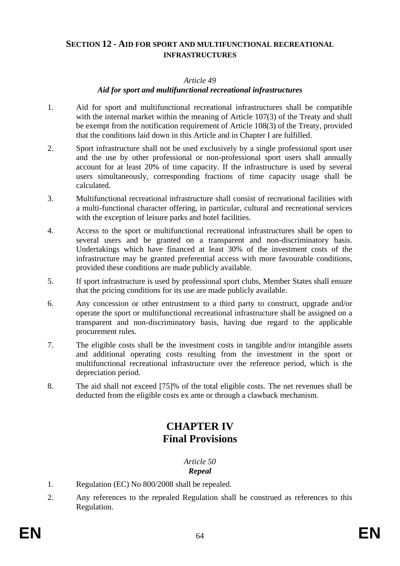# <span id="page-63-0"></span>**SECTION 12 - AID FOR SPORT AND MULTIFUNCTIONAL RECREATIONAL INFRASTRUCTURES**

### *Article 49*

### *Aid for sport and multifunctional recreational infrastructures*

- 1. Aid for sport and multifunctional recreational infrastructures shall be compatible with the internal market within the meaning of Article 107(3) of the Treaty and shall be exempt from the notification requirement of Article 108(3) of the Treaty, provided that the conditions laid down in this Article and in Chapter I are fulfilled.
- 2. Sport infrastructure shall not be used exclusively by a single professional sport user and the use by other professional or non-professional sport users shall annually account for at least 20% of time capacity. If the infrastructure is used by several users simultaneously, corresponding fractions of time capacity usage shall be calculated.
- 3. Multifunctional recreational infrastructure shall consist of recreational facilities with a multi-functional character offering, in particular, cultural and recreational services with the exception of leisure parks and hotel facilities.
- 4. Access to the sport or multifunctional recreational infrastructures shall be open to several users and be granted on a transparent and non-discriminatory basis. Undertakings which have financed at least 30% of the investment costs of the infrastructure may be granted preferential access with more favourable conditions, provided these conditions are made publicly available.
- 5. If sport infrastructure is used by professional sport clubs, Member States shall ensure that the pricing conditions for its use are made publicly available.
- 6. Any concession or other entrustment to a third party to construct, upgrade and/or operate the sport or multifunctional recreational infrastructure shall be assigned on a transparent and non-discriminatory basis, having due regard to the applicable procurement rules.
- 7. The eligible costs shall be the investment costs in tangible and/or intangible assets and additional operating costs resulting from the investment in the sport or multifunctional recreational infrastructure over the reference period, which is the depreciation period.
- <span id="page-63-1"></span>8. The aid shall not exceed [75]% of the total eligible costs. The net revenues shall be deducted from the eligible costs ex ante or through a clawback mechanism.

# **CHAPTER IV Final Provisions**

*Article 50 Repeal*

- 1. Regulation (EC) No 800/2008 shall be repealed.
- 2. Any references to the repealed Regulation shall be construed as references to this Regulation.